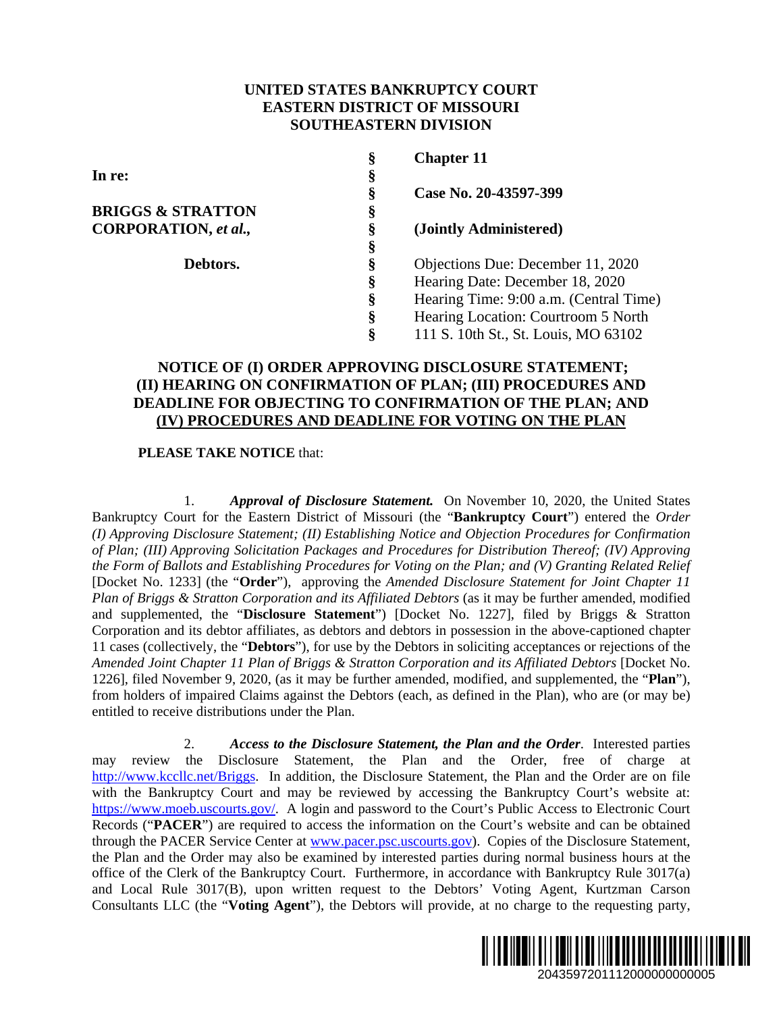# **UNITED STATES BANKRUPTCY COURT EASTERN DISTRICT OF MISSOURI SOUTHEASTERN DIVISION**

| §  | <b>Chapter 11</b>                      |
|----|----------------------------------------|
| §  |                                        |
| §  | Case No. 20-43597-399                  |
| \$ |                                        |
| ş  | (Jointly Administered)                 |
| §  |                                        |
| §  | Objections Due: December 11, 2020      |
| §  | Hearing Date: December 18, 2020        |
| §  | Hearing Time: 9:00 a.m. (Central Time) |
| §  | Hearing Location: Courtroom 5 North    |
| §  | 111 S. 10th St., St. Louis, MO 63102   |
|    |                                        |

# **NOTICE OF (I) ORDER APPROVING DISCLOSURE STATEMENT; (II) HEARING ON CONFIRMATION OF PLAN; (III) PROCEDURES AND DEADLINE FOR OBJECTING TO CONFIRMATION OF THE PLAN; AND (IV) PROCEDURES AND DEADLINE FOR VOTING ON THE PLAN**

# **PLEASE TAKE NOTICE** that:

1. *Approval of Disclosure Statement.* On November 10, 2020, the United States Bankruptcy Court for the Eastern District of Missouri (the "**Bankruptcy Court**") entered the *Order (I) Approving Disclosure Statement; (II) Establishing Notice and Objection Procedures for Confirmation of Plan; (III) Approving Solicitation Packages and Procedures for Distribution Thereof; (IV) Approving the Form of Ballots and Establishing Procedures for Voting on the Plan; and (V) Granting Related Relief* [Docket No. 1233] (the "**Order**"), approving the *Amended Disclosure Statement for Joint Chapter 11 Plan of Briggs & Stratton Corporation and its Affiliated Debtors* (as it may be further amended, modified and supplemented, the "**Disclosure Statement**") [Docket No. 1227], filed by Briggs & Stratton Corporation and its debtor affiliates, as debtors and debtors in possession in the above-captioned chapter 11 cases (collectively, the "**Debtors**"), for use by the Debtors in soliciting acceptances or rejections of the *Amended Joint Chapter 11 Plan of Briggs & Stratton Corporation and its Affiliated Debtors* [Docket No. 1226], filed November 9, 2020, (as it may be further amended, modified, and supplemented, the "**Plan**"), from holders of impaired Claims against the Debtors (each, as defined in the Plan), who are (or may be) entitled to receive distributions under the Plan.

2. *Access to the Disclosure Statement, the Plan and the Order*. Interested parties may review the Disclosure Statement, the Plan and the Order, free of charge at http://www.kccllc.net/Briggs. In addition, the Disclosure Statement, the Plan and the Order are on file with the Bankruptcy Court and may be reviewed by accessing the Bankruptcy Court's website at: https://www.moeb.uscourts.gov/. A login and password to the Court's Public Access to Electronic Court Records ("**PACER**") are required to access the information on the Court's website and can be obtained through the PACER Service Center at www.pacer.psc.uscourts.gov). Copies of the Disclosure Statement, the Plan and the Order may also be examined by interested parties during normal business hours at the office of the Clerk of the Bankruptcy Court. Furthermore, in accordance with Bankruptcy Rule 3017(a) and Local Rule 3017(B), upon written request to the Debtors' Voting Agent, Kurtzman Carson Consultants LLC (the "**Voting Agent**"), the Debtors will provide, at no charge to the requesting party,

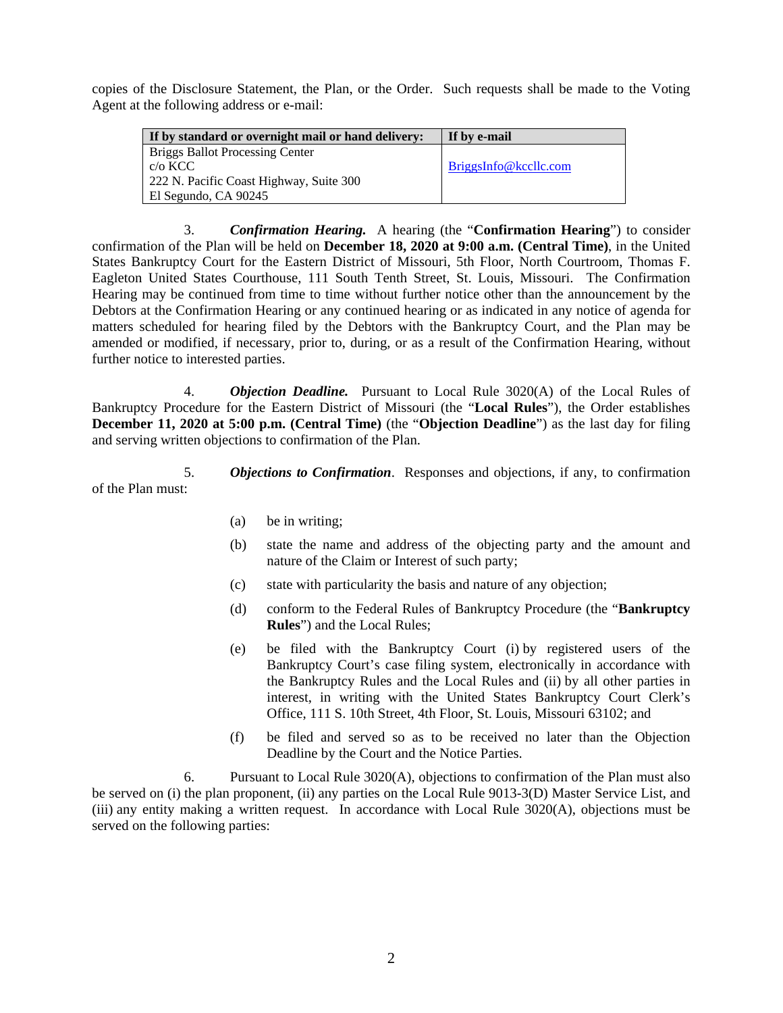copies of the Disclosure Statement, the Plan, or the Order. Such requests shall be made to the Voting Agent at the following address or e-mail:

| If by standard or overnight mail or hand delivery: | If by e-mail          |
|----------------------------------------------------|-----------------------|
| <b>Briggs Ballot Processing Center</b>             |                       |
| $c/\sigma$ KCC                                     | BriggsInfo@kccllc.com |
| 222 N. Pacific Coast Highway, Suite 300            |                       |
| El Segundo, CA 90245                               |                       |

3. *Confirmation Hearing.* A hearing (the "**Confirmation Hearing**") to consider confirmation of the Plan will be held on **December 18, 2020 at 9:00 a.m. (Central Time)**, in the United States Bankruptcy Court for the Eastern District of Missouri, 5th Floor, North Courtroom, Thomas F. Eagleton United States Courthouse, 111 South Tenth Street, St. Louis, Missouri. The Confirmation Hearing may be continued from time to time without further notice other than the announcement by the Debtors at the Confirmation Hearing or any continued hearing or as indicated in any notice of agenda for matters scheduled for hearing filed by the Debtors with the Bankruptcy Court, and the Plan may be amended or modified, if necessary, prior to, during, or as a result of the Confirmation Hearing, without further notice to interested parties.

4. *Objection Deadline.* Pursuant to Local Rule 3020(A) of the Local Rules of Bankruptcy Procedure for the Eastern District of Missouri (the "**Local Rules**"), the Order establishes **December 11, 2020 at 5:00 p.m. (Central Time)** (the "**Objection Deadline**") as the last day for filing and serving written objections to confirmation of the Plan.

5. *Objections to Confirmation*. Responses and objections, if any, to confirmation of the Plan must:

- (a) be in writing;
- (b) state the name and address of the objecting party and the amount and nature of the Claim or Interest of such party;
- (c) state with particularity the basis and nature of any objection;
- (d) conform to the Federal Rules of Bankruptcy Procedure (the "**Bankruptcy Rules**") and the Local Rules;
- (e) be filed with the Bankruptcy Court (i) by registered users of the Bankruptcy Court's case filing system, electronically in accordance with the Bankruptcy Rules and the Local Rules and (ii) by all other parties in interest, in writing with the United States Bankruptcy Court Clerk's Office, 111 S. 10th Street, 4th Floor, St. Louis, Missouri 63102; and
- (f) be filed and served so as to be received no later than the Objection Deadline by the Court and the Notice Parties.

6. Pursuant to Local Rule  $3020(A)$ , objections to confirmation of the Plan must also be served on (i) the plan proponent, (ii) any parties on the Local Rule 9013-3(D) Master Service List, and (iii) any entity making a written request. In accordance with Local Rule 3020(A), objections must be served on the following parties: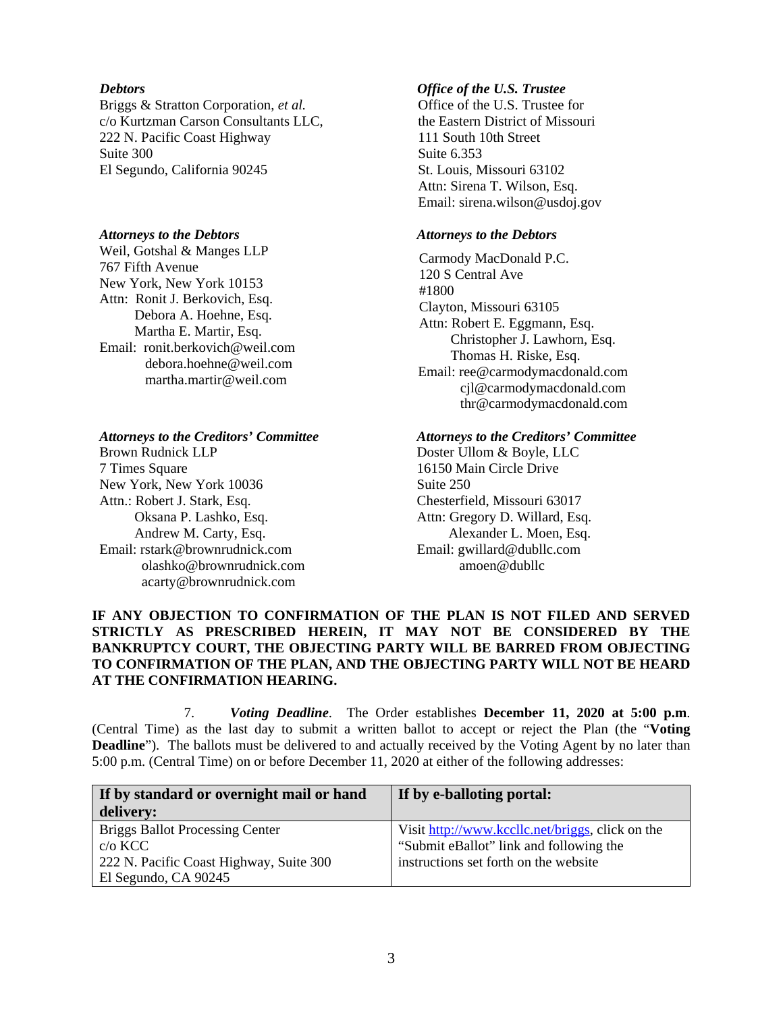#### *Debtors*

Briggs & Stratton Corporation, *et al.*  c/o Kurtzman Carson Consultants LLC, 222 N. Pacific Coast Highway Suite 300 El Segundo, California 90245

### *Attorneys to the Debtors*

Weil, Gotshal & Manges LLP 767 Fifth Avenue New York, New York 10153 Attn: Ronit J. Berkovich, Esq. Debora A. Hoehne, Esq. Martha E. Martir, Esq. Email: ronit.berkovich@weil.com debora.hoehne@weil.com martha.martir@weil.com

### *Attorneys to the Creditors' Committee*

Brown Rudnick LLP 7 Times Square New York, New York 10036 Attn.: Robert J. Stark, Esq. Oksana P. Lashko, Esq. Andrew M. Carty, Esq. Email: rstark@brownrudnick.com olashko@brownrudnick.com acarty@brownrudnick.com

### *Office of the U.S. Trustee*

Office of the U.S. Trustee for the Eastern District of Missouri 111 South 10th Street Suite 6.353 St. Louis, Missouri 63102 Attn: Sirena T. Wilson, Esq. Email: sirena.wilson@usdoj.gov

#### *Attorneys to the Debtors*

Carmody MacDonald P.C. 120 S Central Ave #1800 Clayton, Missouri 63105 Attn: Robert E. Eggmann, Esq. Christopher J. Lawhorn, Esq. Thomas H. Riske, Esq. Email: ree@carmodymacdonald.com cjl@carmodymacdonald.com thr@carmodymacdonald.com

### *Attorneys to the Creditors' Committee*

Doster Ullom & Boyle, LLC 16150 Main Circle Drive Suite 250 Chesterfield, Missouri 63017 Attn: Gregory D. Willard, Esq. Alexander L. Moen, Esq. Email: gwillard@dubllc.com amoen@dubllc

# **IF ANY OBJECTION TO CONFIRMATION OF THE PLAN IS NOT FILED AND SERVED STRICTLY AS PRESCRIBED HEREIN, IT MAY NOT BE CONSIDERED BY THE BANKRUPTCY COURT, THE OBJECTING PARTY WILL BE BARRED FROM OBJECTING TO CONFIRMATION OF THE PLAN, AND THE OBJECTING PARTY WILL NOT BE HEARD AT THE CONFIRMATION HEARING.**

7. *Voting Deadline*. The Order establishes **December 11, 2020 at 5:00 p.m**. (Central Time) as the last day to submit a written ballot to accept or reject the Plan (the "**Voting Deadline**"). The ballots must be delivered to and actually received by the Voting Agent by no later than 5:00 p.m. (Central Time) on or before December 11, 2020 at either of the following addresses:

| If by standard or overnight mail or hand | If by e-balloting portal:                        |  |  |
|------------------------------------------|--------------------------------------------------|--|--|
| delivery:                                |                                                  |  |  |
| <b>Briggs Ballot Processing Center</b>   | Visit http://www.kccllc.net/briggs, click on the |  |  |
| $c/\sigma$ KCC                           | "Submit eBallot" link and following the          |  |  |
| 222 N. Pacific Coast Highway, Suite 300  | instructions set forth on the website            |  |  |
| El Segundo, CA 90245                     |                                                  |  |  |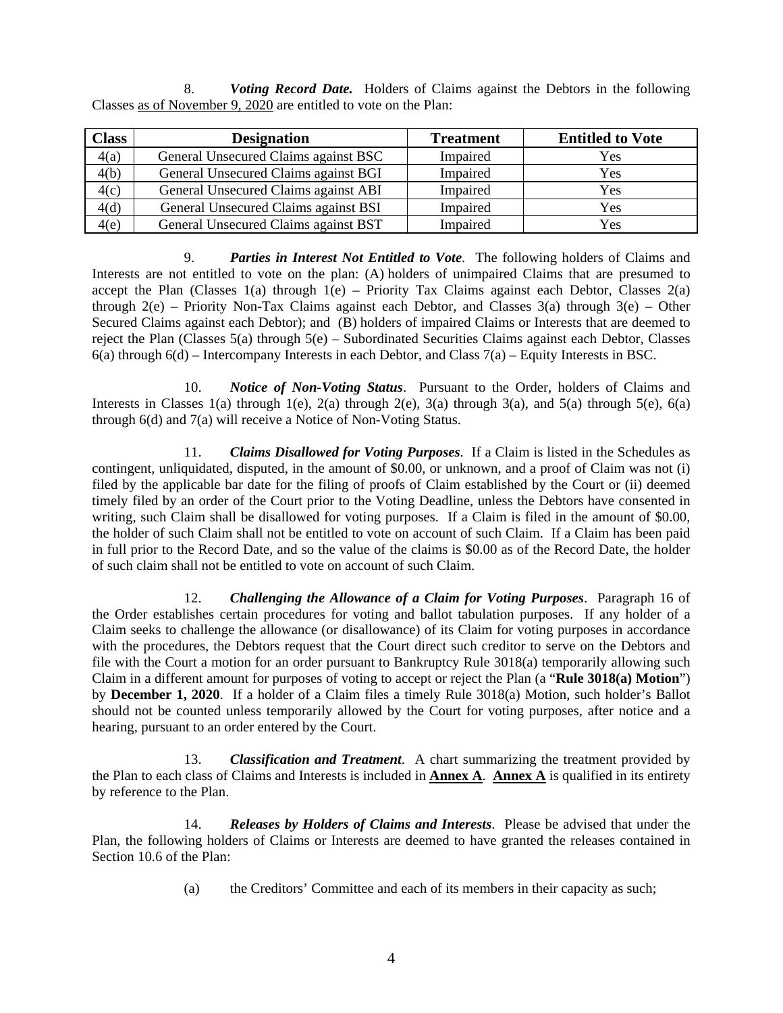8. *Voting Record Date.* Holders of Claims against the Debtors in the following Classes as of November 9, 2020 are entitled to vote on the Plan:

| <b>Class</b> | <b>Designation</b>                   | <b>Treatment</b> | <b>Entitled to Vote</b> |
|--------------|--------------------------------------|------------------|-------------------------|
| 4(a)         | General Unsecured Claims against BSC | Impaired         | Yes                     |
| 4(b)         | General Unsecured Claims against BGI | Impaired         | Yes                     |
| 4(c)         | General Unsecured Claims against ABI | Impaired         | Yes                     |
| 4(d)         | General Unsecured Claims against BSI | Impaired         | Yes                     |
| 4(e)         | General Unsecured Claims against BST | Impaired         | Yes                     |

9. *Parties in Interest Not Entitled to Vote*. The following holders of Claims and Interests are not entitled to vote on the plan: (A) holders of unimpaired Claims that are presumed to accept the Plan (Classes 1(a) through  $1(e)$  – Priority Tax Claims against each Debtor, Classes 2(a) through  $2(e)$  – Priority Non-Tax Claims against each Debtor, and Classes  $3(a)$  through  $3(e)$  – Other Secured Claims against each Debtor); and (B) holders of impaired Claims or Interests that are deemed to reject the Plan (Classes 5(a) through 5(e) – Subordinated Securities Claims against each Debtor, Classes 6(a) through 6(d) – Intercompany Interests in each Debtor, and Class 7(a) – Equity Interests in BSC.

10. *Notice of Non-Voting Status*. Pursuant to the Order, holders of Claims and Interests in Classes 1(a) through 1(e), 2(a) through 2(e), 3(a) through 3(a), and 5(a) through 5(e), 6(a) through 6(d) and 7(a) will receive a Notice of Non-Voting Status.

11. *Claims Disallowed for Voting Purposes*. If a Claim is listed in the Schedules as contingent, unliquidated, disputed, in the amount of \$0.00, or unknown, and a proof of Claim was not (i) filed by the applicable bar date for the filing of proofs of Claim established by the Court or (ii) deemed timely filed by an order of the Court prior to the Voting Deadline, unless the Debtors have consented in writing, such Claim shall be disallowed for voting purposes. If a Claim is filed in the amount of \$0.00, the holder of such Claim shall not be entitled to vote on account of such Claim. If a Claim has been paid in full prior to the Record Date, and so the value of the claims is \$0.00 as of the Record Date, the holder of such claim shall not be entitled to vote on account of such Claim.

12. *Challenging the Allowance of a Claim for Voting Purposes*. Paragraph 16 of the Order establishes certain procedures for voting and ballot tabulation purposes. If any holder of a Claim seeks to challenge the allowance (or disallowance) of its Claim for voting purposes in accordance with the procedures, the Debtors request that the Court direct such creditor to serve on the Debtors and file with the Court a motion for an order pursuant to Bankruptcy Rule 3018(a) temporarily allowing such Claim in a different amount for purposes of voting to accept or reject the Plan (a "**Rule 3018(a) Motion**") by **December 1, 2020**. If a holder of a Claim files a timely Rule 3018(a) Motion, such holder's Ballot should not be counted unless temporarily allowed by the Court for voting purposes, after notice and a hearing, pursuant to an order entered by the Court.

13. *Classification and Treatment*. A chart summarizing the treatment provided by the Plan to each class of Claims and Interests is included in **Annex A**. **Annex A** is qualified in its entirety by reference to the Plan.

14. *Releases by Holders of Claims and Interests*. Please be advised that under the Plan, the following holders of Claims or Interests are deemed to have granted the releases contained in Section 10.6 of the Plan:

(a) the Creditors' Committee and each of its members in their capacity as such;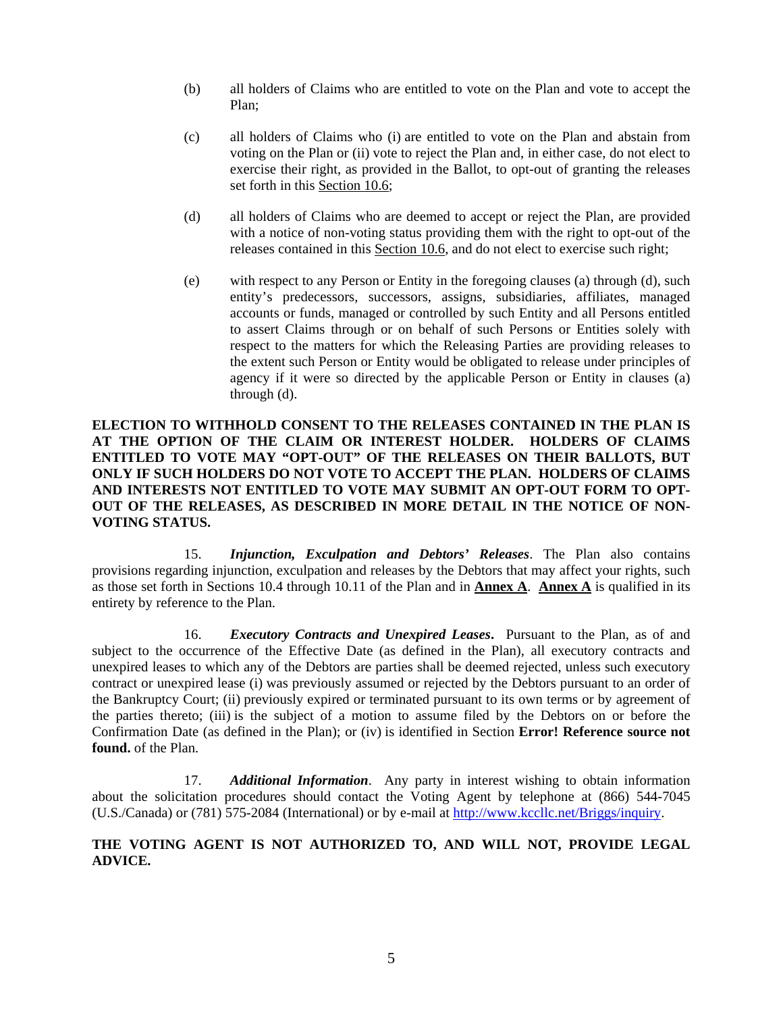- (b) all holders of Claims who are entitled to vote on the Plan and vote to accept the Plan;
- (c) all holders of Claims who (i) are entitled to vote on the Plan and abstain from voting on the Plan or (ii) vote to reject the Plan and, in either case, do not elect to exercise their right, as provided in the Ballot, to opt-out of granting the releases set forth in this Section 10.6;
- (d) all holders of Claims who are deemed to accept or reject the Plan, are provided with a notice of non-voting status providing them with the right to opt-out of the releases contained in this Section 10.6, and do not elect to exercise such right;
- (e) with respect to any Person or Entity in the foregoing clauses (a) through (d), such entity's predecessors, successors, assigns, subsidiaries, affiliates, managed accounts or funds, managed or controlled by such Entity and all Persons entitled to assert Claims through or on behalf of such Persons or Entities solely with respect to the matters for which the Releasing Parties are providing releases to the extent such Person or Entity would be obligated to release under principles of agency if it were so directed by the applicable Person or Entity in clauses (a) through (d).

# **ELECTION TO WITHHOLD CONSENT TO THE RELEASES CONTAINED IN THE PLAN IS AT THE OPTION OF THE CLAIM OR INTEREST HOLDER. HOLDERS OF CLAIMS ENTITLED TO VOTE MAY "OPT-OUT" OF THE RELEASES ON THEIR BALLOTS, BUT ONLY IF SUCH HOLDERS DO NOT VOTE TO ACCEPT THE PLAN. HOLDERS OF CLAIMS AND INTERESTS NOT ENTITLED TO VOTE MAY SUBMIT AN OPT-OUT FORM TO OPT-OUT OF THE RELEASES, AS DESCRIBED IN MORE DETAIL IN THE NOTICE OF NON-VOTING STATUS.**

15. *Injunction, Exculpation and Debtors' Releases*. The Plan also contains provisions regarding injunction, exculpation and releases by the Debtors that may affect your rights, such as those set forth in Sections 10.4 through 10.11 of the Plan and in **Annex A**. **Annex A** is qualified in its entirety by reference to the Plan.

16. *Executory Contracts and Unexpired Leases***.** Pursuant to the Plan, as of and subject to the occurrence of the Effective Date (as defined in the Plan), all executory contracts and unexpired leases to which any of the Debtors are parties shall be deemed rejected, unless such executory contract or unexpired lease (i) was previously assumed or rejected by the Debtors pursuant to an order of the Bankruptcy Court; (ii) previously expired or terminated pursuant to its own terms or by agreement of the parties thereto; (iii) is the subject of a motion to assume filed by the Debtors on or before the Confirmation Date (as defined in the Plan); or (iv) is identified in Section **Error! Reference source not found.** of the Plan.

17. *Additional Information*. Any party in interest wishing to obtain information about the solicitation procedures should contact the Voting Agent by telephone at (866) 544-7045 (U.S./Canada) or (781) 575-2084 (International) or by e-mail at http://www.kccllc.net/Briggs/inquiry.

# **THE VOTING AGENT IS NOT AUTHORIZED TO, AND WILL NOT, PROVIDE LEGAL ADVICE.**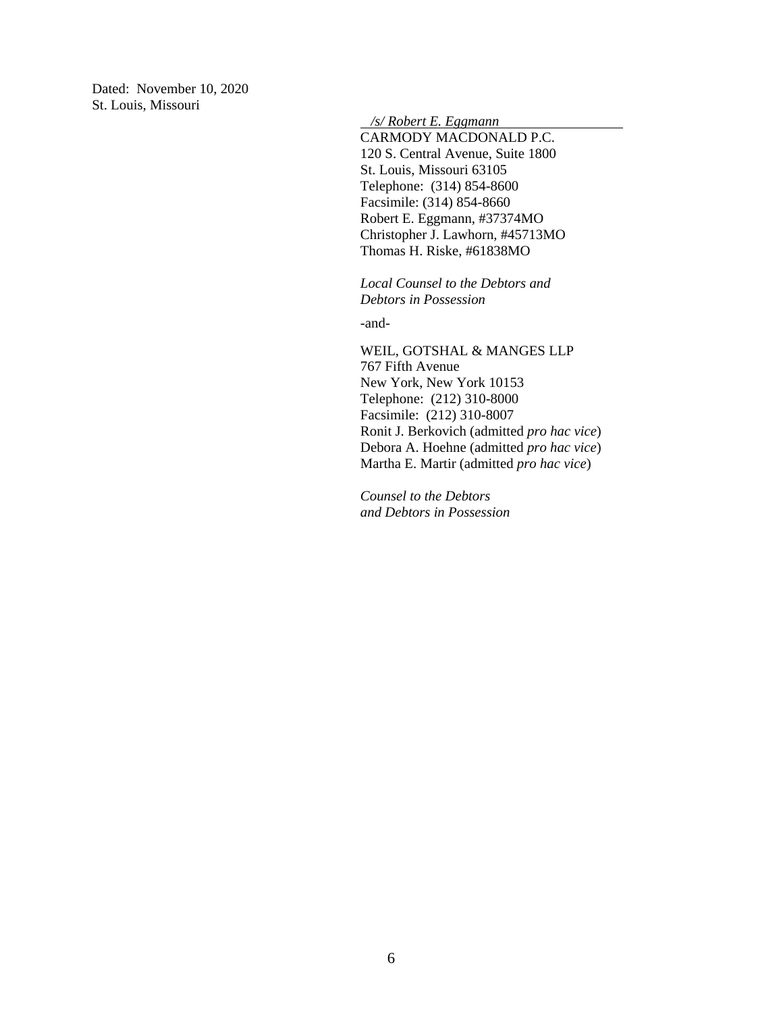Dated: November 10, 2020 St. Louis, Missouri

 */s/ Robert E. Eggmann* 

CARMODY MACDONALD P.C. 120 S. Central Avenue, Suite 1800 St. Louis, Missouri 63105 Telephone: (314) 854-8600 Facsimile: (314) 854-8660 Robert E. Eggmann, #37374MO Christopher J. Lawhorn, #45713MO Thomas H. Riske, #61838MO

*Local Counsel to the Debtors and Debtors in Possession*

-and-

WEIL, GOTSHAL & MANGES LLP 767 Fifth Avenue New York, New York 10153 Telephone: (212) 310-8000 Facsimile: (212) 310-8007 Ronit J. Berkovich (admitted *pro hac vice*) Debora A. Hoehne (admitted *pro hac vice*) Martha E. Martir (admitted *pro hac vice*)

*Counsel to the Debtors and Debtors in Possession*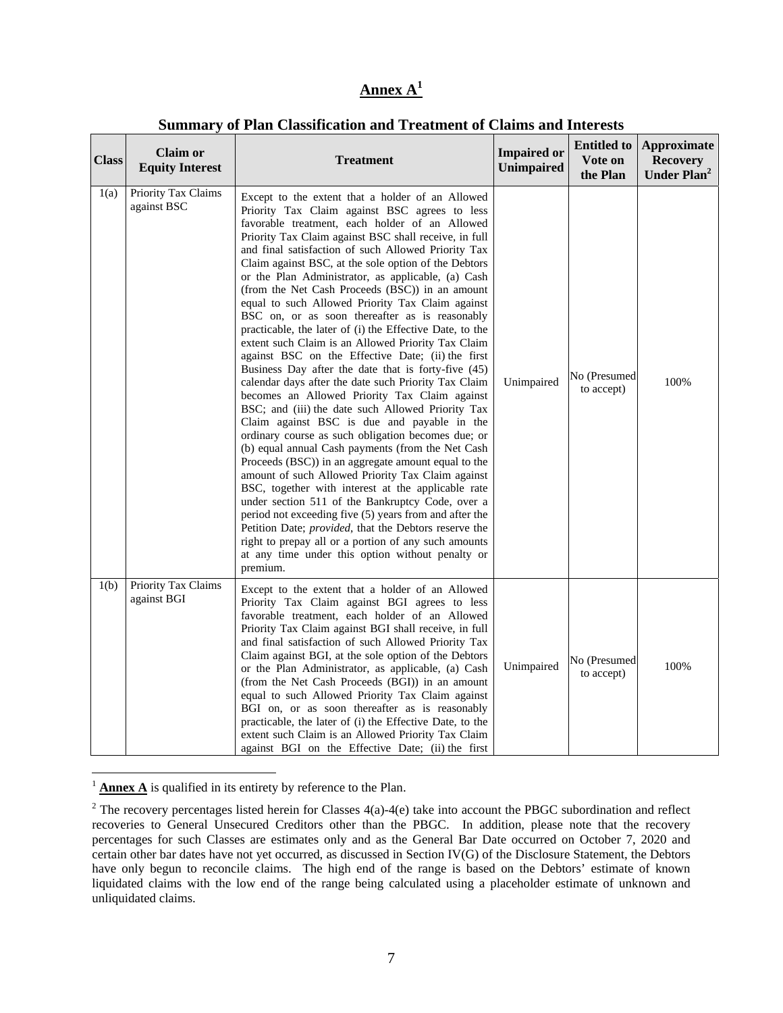# **Annex A<sup>1</sup>**

|              |                                           | раннца у от глан славянсатон ана ттеатнент от сланнв ана пистевь                                                                                                                                                                                                                                                                                                                                                                                                                                                                                                                                                                                                                                                                                                                                                                                                                                                                                                                                                                                                                                                                                                                                                                                                                                                                                                                                                                                                                                                                                                  |                                         |                                           |                                                                  |
|--------------|-------------------------------------------|-------------------------------------------------------------------------------------------------------------------------------------------------------------------------------------------------------------------------------------------------------------------------------------------------------------------------------------------------------------------------------------------------------------------------------------------------------------------------------------------------------------------------------------------------------------------------------------------------------------------------------------------------------------------------------------------------------------------------------------------------------------------------------------------------------------------------------------------------------------------------------------------------------------------------------------------------------------------------------------------------------------------------------------------------------------------------------------------------------------------------------------------------------------------------------------------------------------------------------------------------------------------------------------------------------------------------------------------------------------------------------------------------------------------------------------------------------------------------------------------------------------------------------------------------------------------|-----------------------------------------|-------------------------------------------|------------------------------------------------------------------|
| <b>Class</b> | <b>Claim or</b><br><b>Equity Interest</b> | <b>Treatment</b>                                                                                                                                                                                                                                                                                                                                                                                                                                                                                                                                                                                                                                                                                                                                                                                                                                                                                                                                                                                                                                                                                                                                                                                                                                                                                                                                                                                                                                                                                                                                                  | <b>Impaired or</b><br><b>Unimpaired</b> | <b>Entitled to</b><br>Vote on<br>the Plan | <b>Approximate</b><br><b>Recovery</b><br>Under Plan <sup>2</sup> |
| 1(a)         | Priority Tax Claims<br>against BSC        | Except to the extent that a holder of an Allowed<br>Priority Tax Claim against BSC agrees to less<br>favorable treatment, each holder of an Allowed<br>Priority Tax Claim against BSC shall receive, in full<br>and final satisfaction of such Allowed Priority Tax<br>Claim against BSC, at the sole option of the Debtors<br>or the Plan Administrator, as applicable, (a) Cash<br>(from the Net Cash Proceeds (BSC)) in an amount<br>equal to such Allowed Priority Tax Claim against<br>BSC on, or as soon thereafter as is reasonably<br>practicable, the later of (i) the Effective Date, to the<br>extent such Claim is an Allowed Priority Tax Claim<br>against BSC on the Effective Date; (ii) the first<br>Business Day after the date that is forty-five (45)<br>calendar days after the date such Priority Tax Claim<br>becomes an Allowed Priority Tax Claim against<br>BSC; and (iii) the date such Allowed Priority Tax<br>Claim against BSC is due and payable in the<br>ordinary course as such obligation becomes due; or<br>(b) equal annual Cash payments (from the Net Cash<br>Proceeds (BSC)) in an aggregate amount equal to the<br>amount of such Allowed Priority Tax Claim against<br>BSC, together with interest at the applicable rate<br>under section 511 of the Bankruptcy Code, over a<br>period not exceeding five (5) years from and after the<br>Petition Date; provided, that the Debtors reserve the<br>right to prepay all or a portion of any such amounts<br>at any time under this option without penalty or<br>premium. | Unimpaired                              | No (Presumed<br>to accept)                | 100%                                                             |
| 1(b)         | Priority Tax Claims<br>against BGI        | Except to the extent that a holder of an Allowed<br>Priority Tax Claim against BGI agrees to less<br>favorable treatment, each holder of an Allowed<br>Priority Tax Claim against BGI shall receive, in full<br>and final satisfaction of such Allowed Priority Tax<br>Claim against BGI, at the sole option of the Debtors<br>or the Plan Administrator, as applicable, (a) Cash<br>(from the Net Cash Proceeds (BGI)) in an amount<br>equal to such Allowed Priority Tax Claim against<br>BGI on, or as soon thereafter as is reasonably<br>practicable, the later of (i) the Effective Date, to the<br>extent such Claim is an Allowed Priority Tax Claim<br>against BGI on the Effective Date; (ii) the first                                                                                                                                                                                                                                                                                                                                                                                                                                                                                                                                                                                                                                                                                                                                                                                                                                                 | Unimpaired                              | No (Presumed<br>to accept)                | 100%                                                             |

# **Summary of Plan Classification and Treatment of Claims and Interests**

 $\frac{1}{4}$  **Annex A** is qualified in its entirety by reference to the Plan.

 $\overline{a}$ 

<sup>&</sup>lt;sup>2</sup> The recovery percentages listed herein for Classes  $4(a)$ -4(e) take into account the PBGC subordination and reflect recoveries to General Unsecured Creditors other than the PBGC. In addition, please note that the recovery percentages for such Classes are estimates only and as the General Bar Date occurred on October 7, 2020 and certain other bar dates have not yet occurred, as discussed in Section IV(G) of the Disclosure Statement, the Debtors have only begun to reconcile claims. The high end of the range is based on the Debtors' estimate of known liquidated claims with the low end of the range being calculated using a placeholder estimate of unknown and unliquidated claims.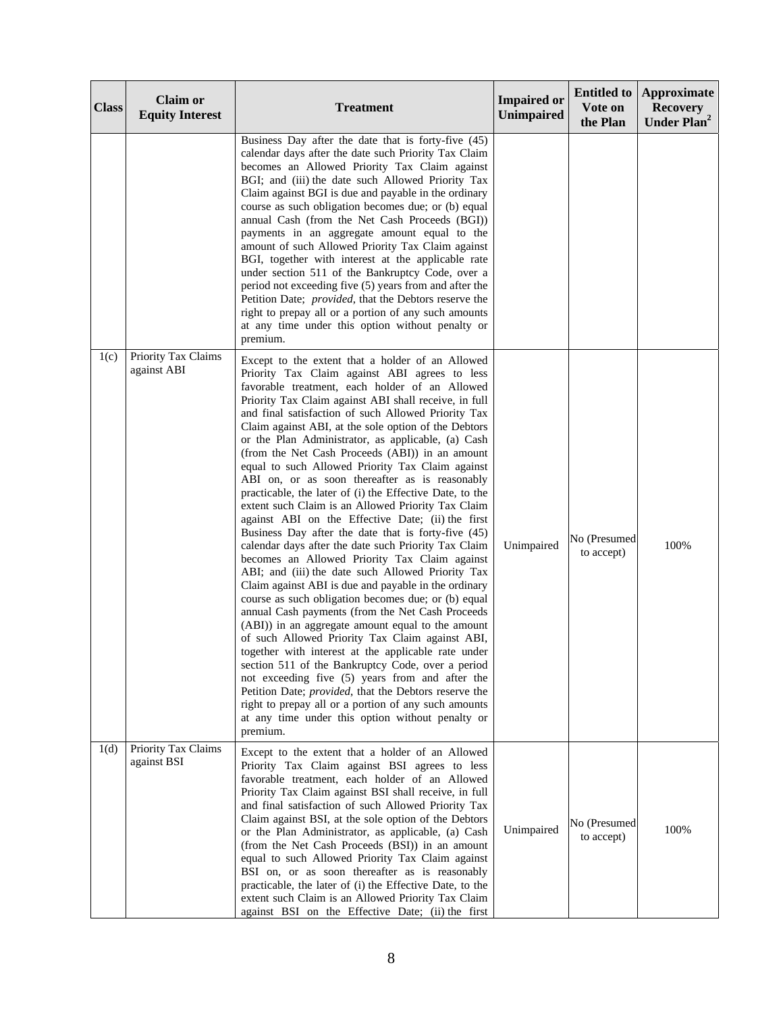| <b>Class</b> | <b>Claim or</b><br><b>Equity Interest</b> | <b>Treatment</b>                                                                                                                                                                                                                                                                                                                                                                                                                                                                                                                                                                                                                                                                                                                                                                                                                                                                                                                                                                                                                                                                                                                                                                                                                                                                                                                                                                                                                                                                                                                                                  | <b>Impaired or</b><br><b>Unimpaired</b> | <b>Entitled to</b><br>Vote on<br>the Plan | <b>Approximate</b><br><b>Recovery</b><br>Under Plan <sup>2</sup> |
|--------------|-------------------------------------------|-------------------------------------------------------------------------------------------------------------------------------------------------------------------------------------------------------------------------------------------------------------------------------------------------------------------------------------------------------------------------------------------------------------------------------------------------------------------------------------------------------------------------------------------------------------------------------------------------------------------------------------------------------------------------------------------------------------------------------------------------------------------------------------------------------------------------------------------------------------------------------------------------------------------------------------------------------------------------------------------------------------------------------------------------------------------------------------------------------------------------------------------------------------------------------------------------------------------------------------------------------------------------------------------------------------------------------------------------------------------------------------------------------------------------------------------------------------------------------------------------------------------------------------------------------------------|-----------------------------------------|-------------------------------------------|------------------------------------------------------------------|
|              |                                           | Business Day after the date that is forty-five (45)<br>calendar days after the date such Priority Tax Claim<br>becomes an Allowed Priority Tax Claim against<br>BGI; and (iii) the date such Allowed Priority Tax<br>Claim against BGI is due and payable in the ordinary<br>course as such obligation becomes due; or (b) equal<br>annual Cash (from the Net Cash Proceeds (BGI))<br>payments in an aggregate amount equal to the<br>amount of such Allowed Priority Tax Claim against<br>BGI, together with interest at the applicable rate<br>under section 511 of the Bankruptcy Code, over a<br>period not exceeding five (5) years from and after the<br>Petition Date; provided, that the Debtors reserve the<br>right to prepay all or a portion of any such amounts<br>at any time under this option without penalty or<br>premium.                                                                                                                                                                                                                                                                                                                                                                                                                                                                                                                                                                                                                                                                                                                      |                                         |                                           |                                                                  |
| 1(c)         | Priority Tax Claims<br>against ABI        | Except to the extent that a holder of an Allowed<br>Priority Tax Claim against ABI agrees to less<br>favorable treatment, each holder of an Allowed<br>Priority Tax Claim against ABI shall receive, in full<br>and final satisfaction of such Allowed Priority Tax<br>Claim against ABI, at the sole option of the Debtors<br>or the Plan Administrator, as applicable, (a) Cash<br>(from the Net Cash Proceeds (ABI)) in an amount<br>equal to such Allowed Priority Tax Claim against<br>ABI on, or as soon thereafter as is reasonably<br>practicable, the later of (i) the Effective Date, to the<br>extent such Claim is an Allowed Priority Tax Claim<br>against ABI on the Effective Date; (ii) the first<br>Business Day after the date that is forty-five (45)<br>calendar days after the date such Priority Tax Claim<br>becomes an Allowed Priority Tax Claim against<br>ABI; and (iii) the date such Allowed Priority Tax<br>Claim against ABI is due and payable in the ordinary<br>course as such obligation becomes due; or (b) equal<br>annual Cash payments (from the Net Cash Proceeds<br>(ABI)) in an aggregate amount equal to the amount<br>of such Allowed Priority Tax Claim against ABI,<br>together with interest at the applicable rate under<br>section 511 of the Bankruptcy Code, over a period<br>not exceeding five (5) years from and after the<br>Petition Date; provided, that the Debtors reserve the<br>right to prepay all or a portion of any such amounts<br>at any time under this option without penalty or<br>premium. | Unimpaired                              | No (Presumed<br>to accept)                | 100%                                                             |
| 1(d)         | Priority Tax Claims<br>against BSI        | Except to the extent that a holder of an Allowed<br>Priority Tax Claim against BSI agrees to less<br>favorable treatment, each holder of an Allowed<br>Priority Tax Claim against BSI shall receive, in full<br>and final satisfaction of such Allowed Priority Tax<br>Claim against BSI, at the sole option of the Debtors<br>or the Plan Administrator, as applicable, (a) Cash<br>(from the Net Cash Proceeds (BSI)) in an amount<br>equal to such Allowed Priority Tax Claim against<br>BSI on, or as soon thereafter as is reasonably<br>practicable, the later of (i) the Effective Date, to the<br>extent such Claim is an Allowed Priority Tax Claim<br>against BSI on the Effective Date; (ii) the first                                                                                                                                                                                                                                                                                                                                                                                                                                                                                                                                                                                                                                                                                                                                                                                                                                                 | Unimpaired                              | No (Presumed<br>to accept)                | 100%                                                             |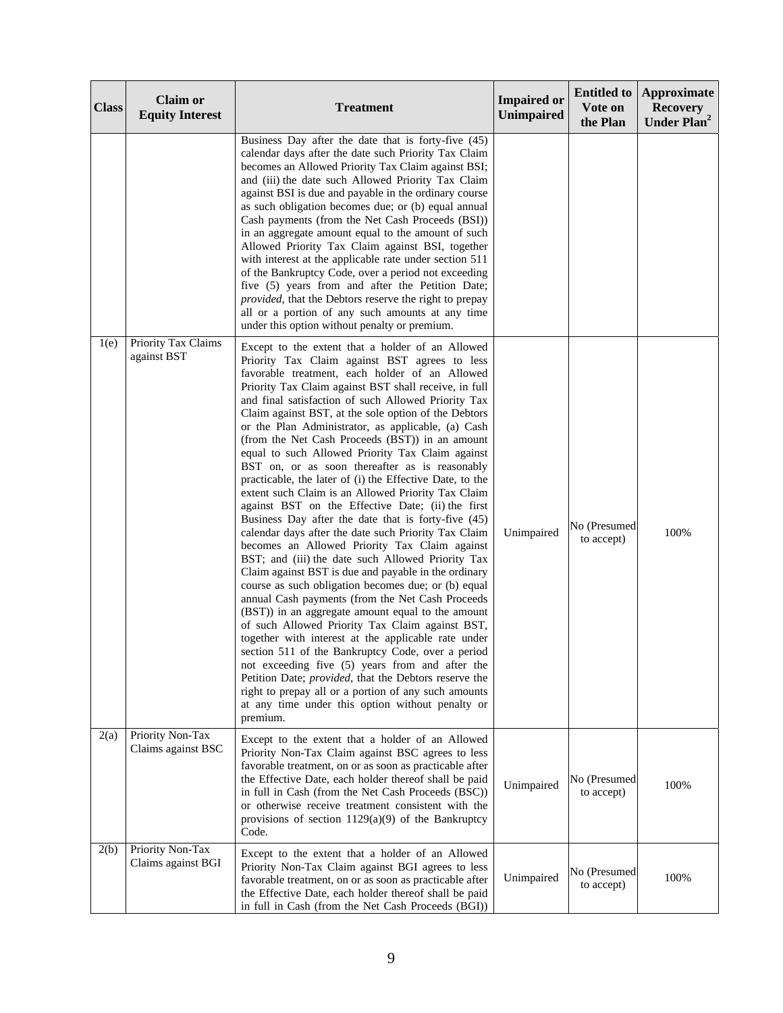| <b>Class</b> | <b>Claim or</b><br><b>Equity Interest</b> | <b>Treatment</b>                                                                                                                                                                                                                                                                                                                                                                                                                                                                                                                                                                                                                                                                                                                                                                                                                                                                                                                                                                                                                                                                                                                                                                                                                                                                                                                                                                                                                                                                                                                                                  | <b>Impaired or</b><br><b>Unimpaired</b> | <b>Entitled to</b><br>Vote on<br>the Plan | <b>Approximate</b><br><b>Recovery</b><br>Under Plan <sup>2</sup> |
|--------------|-------------------------------------------|-------------------------------------------------------------------------------------------------------------------------------------------------------------------------------------------------------------------------------------------------------------------------------------------------------------------------------------------------------------------------------------------------------------------------------------------------------------------------------------------------------------------------------------------------------------------------------------------------------------------------------------------------------------------------------------------------------------------------------------------------------------------------------------------------------------------------------------------------------------------------------------------------------------------------------------------------------------------------------------------------------------------------------------------------------------------------------------------------------------------------------------------------------------------------------------------------------------------------------------------------------------------------------------------------------------------------------------------------------------------------------------------------------------------------------------------------------------------------------------------------------------------------------------------------------------------|-----------------------------------------|-------------------------------------------|------------------------------------------------------------------|
|              |                                           | Business Day after the date that is forty-five (45)<br>calendar days after the date such Priority Tax Claim<br>becomes an Allowed Priority Tax Claim against BSI;<br>and (iii) the date such Allowed Priority Tax Claim<br>against BSI is due and payable in the ordinary course<br>as such obligation becomes due; or (b) equal annual<br>Cash payments (from the Net Cash Proceeds (BSI))<br>in an aggregate amount equal to the amount of such<br>Allowed Priority Tax Claim against BSI, together<br>with interest at the applicable rate under section 511<br>of the Bankruptcy Code, over a period not exceeding<br>five (5) years from and after the Petition Date;<br>provided, that the Debtors reserve the right to prepay<br>all or a portion of any such amounts at any time<br>under this option without penalty or premium.                                                                                                                                                                                                                                                                                                                                                                                                                                                                                                                                                                                                                                                                                                                         |                                         |                                           |                                                                  |
| 1(e)         | Priority Tax Claims<br>against BST        | Except to the extent that a holder of an Allowed<br>Priority Tax Claim against BST agrees to less<br>favorable treatment, each holder of an Allowed<br>Priority Tax Claim against BST shall receive, in full<br>and final satisfaction of such Allowed Priority Tax<br>Claim against BST, at the sole option of the Debtors<br>or the Plan Administrator, as applicable, (a) Cash<br>(from the Net Cash Proceeds (BST)) in an amount<br>equal to such Allowed Priority Tax Claim against<br>BST on, or as soon thereafter as is reasonably<br>practicable, the later of (i) the Effective Date, to the<br>extent such Claim is an Allowed Priority Tax Claim<br>against BST on the Effective Date; (ii) the first<br>Business Day after the date that is forty-five (45)<br>calendar days after the date such Priority Tax Claim<br>becomes an Allowed Priority Tax Claim against<br>BST; and (iii) the date such Allowed Priority Tax<br>Claim against BST is due and payable in the ordinary<br>course as such obligation becomes due; or (b) equal<br>annual Cash payments (from the Net Cash Proceeds<br>(BST)) in an aggregate amount equal to the amount<br>of such Allowed Priority Tax Claim against BST,<br>together with interest at the applicable rate under<br>section 511 of the Bankruptcy Code, over a period<br>not exceeding five (5) years from and after the<br>Petition Date; provided, that the Debtors reserve the<br>right to prepay all or a portion of any such amounts<br>at any time under this option without penalty or<br>premium. | Unimpaired                              | No (Presumed<br>to accept)                | 100%                                                             |
| 2(a)         | Priority Non-Tax<br>Claims against BSC    | Except to the extent that a holder of an Allowed<br>Priority Non-Tax Claim against BSC agrees to less<br>favorable treatment, on or as soon as practicable after<br>the Effective Date, each holder thereof shall be paid<br>in full in Cash (from the Net Cash Proceeds (BSC))<br>or otherwise receive treatment consistent with the<br>provisions of section $1129(a)(9)$ of the Bankruptcy<br>Code.                                                                                                                                                                                                                                                                                                                                                                                                                                                                                                                                                                                                                                                                                                                                                                                                                                                                                                                                                                                                                                                                                                                                                            | Unimpaired                              | No (Presumed<br>to accept)                | 100%                                                             |
| 2(b)         | Priority Non-Tax<br>Claims against BGI    | Except to the extent that a holder of an Allowed<br>Priority Non-Tax Claim against BGI agrees to less<br>favorable treatment, on or as soon as practicable after<br>the Effective Date, each holder thereof shall be paid<br>in full in Cash (from the Net Cash Proceeds (BGI))                                                                                                                                                                                                                                                                                                                                                                                                                                                                                                                                                                                                                                                                                                                                                                                                                                                                                                                                                                                                                                                                                                                                                                                                                                                                                   | Unimpaired                              | No (Presumed<br>to accept)                | 100%                                                             |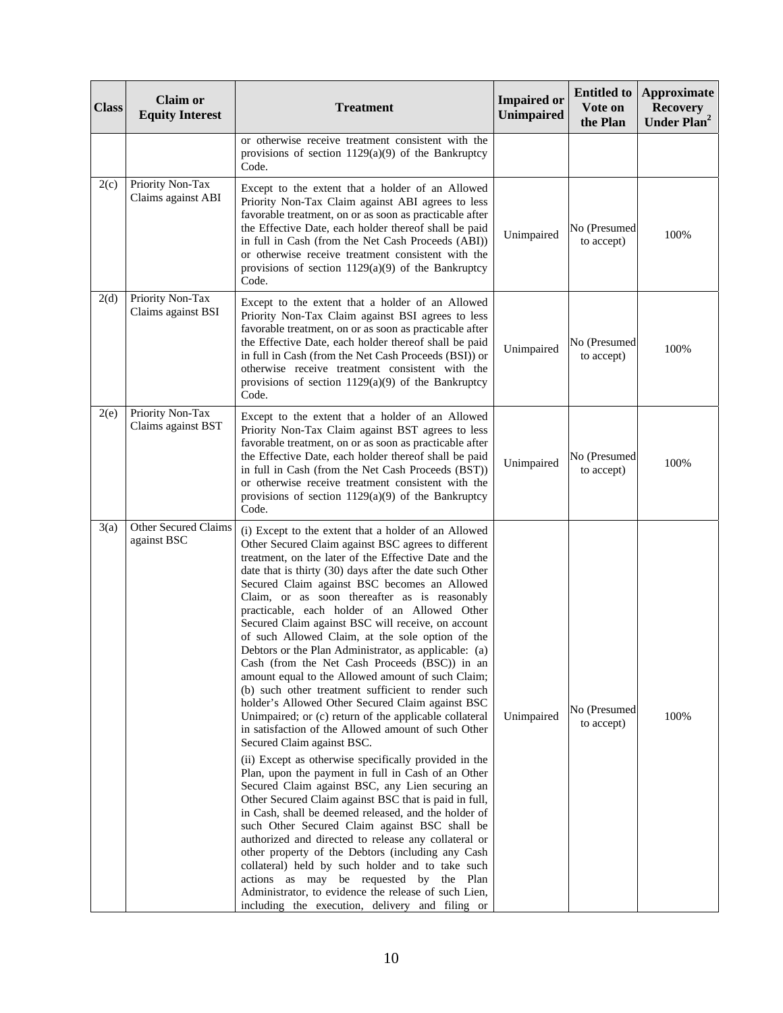| <b>Class</b> | <b>Claim or</b><br><b>Equity Interest</b> | <b>Treatment</b>                                                                                                                                                                                                                                                                                                                                                                                                                                                                                                                                                                                                                                                                                                                                                                                                                                                                                                                                                                                                                                                                                                                                                                                                                                                                                                                                                                                                                                                                                                                                                              | <b>Impaired or</b><br><b>Unimpaired</b> | <b>Entitled to</b><br>Vote on<br>the Plan | <b>Approximate</b><br><b>Recovery</b><br>Under Plan <sup>2</sup> |
|--------------|-------------------------------------------|-------------------------------------------------------------------------------------------------------------------------------------------------------------------------------------------------------------------------------------------------------------------------------------------------------------------------------------------------------------------------------------------------------------------------------------------------------------------------------------------------------------------------------------------------------------------------------------------------------------------------------------------------------------------------------------------------------------------------------------------------------------------------------------------------------------------------------------------------------------------------------------------------------------------------------------------------------------------------------------------------------------------------------------------------------------------------------------------------------------------------------------------------------------------------------------------------------------------------------------------------------------------------------------------------------------------------------------------------------------------------------------------------------------------------------------------------------------------------------------------------------------------------------------------------------------------------------|-----------------------------------------|-------------------------------------------|------------------------------------------------------------------|
|              |                                           | or otherwise receive treatment consistent with the<br>provisions of section $1129(a)(9)$ of the Bankruptcy<br>Code.                                                                                                                                                                                                                                                                                                                                                                                                                                                                                                                                                                                                                                                                                                                                                                                                                                                                                                                                                                                                                                                                                                                                                                                                                                                                                                                                                                                                                                                           |                                         |                                           |                                                                  |
| 2(c)         | Priority Non-Tax<br>Claims against ABI    | Except to the extent that a holder of an Allowed<br>Priority Non-Tax Claim against ABI agrees to less<br>favorable treatment, on or as soon as practicable after<br>the Effective Date, each holder thereof shall be paid<br>in full in Cash (from the Net Cash Proceeds (ABI))<br>or otherwise receive treatment consistent with the<br>provisions of section $1129(a)(9)$ of the Bankruptcy<br>Code.                                                                                                                                                                                                                                                                                                                                                                                                                                                                                                                                                                                                                                                                                                                                                                                                                                                                                                                                                                                                                                                                                                                                                                        | Unimpaired                              | No (Presumed<br>to accept)                | 100%                                                             |
| 2(d)         | Priority Non-Tax<br>Claims against BSI    | Except to the extent that a holder of an Allowed<br>Priority Non-Tax Claim against BSI agrees to less<br>favorable treatment, on or as soon as practicable after<br>the Effective Date, each holder thereof shall be paid<br>in full in Cash (from the Net Cash Proceeds (BSI)) or<br>otherwise receive treatment consistent with the<br>provisions of section $1129(a)(9)$ of the Bankruptcy<br>Code.                                                                                                                                                                                                                                                                                                                                                                                                                                                                                                                                                                                                                                                                                                                                                                                                                                                                                                                                                                                                                                                                                                                                                                        | Unimpaired                              | No (Presumed<br>to accept)                | 100%                                                             |
| 2(e)         | Priority Non-Tax<br>Claims against BST    | Except to the extent that a holder of an Allowed<br>Priority Non-Tax Claim against BST agrees to less<br>favorable treatment, on or as soon as practicable after<br>the Effective Date, each holder thereof shall be paid<br>in full in Cash (from the Net Cash Proceeds (BST))<br>or otherwise receive treatment consistent with the<br>provisions of section $1129(a)(9)$ of the Bankruptcy<br>Code.                                                                                                                                                                                                                                                                                                                                                                                                                                                                                                                                                                                                                                                                                                                                                                                                                                                                                                                                                                                                                                                                                                                                                                        | Unimpaired                              | No (Presumed<br>to accept)                | 100%                                                             |
| 3(a)         | Other Secured Claims<br>against BSC       | (i) Except to the extent that a holder of an Allowed<br>Other Secured Claim against BSC agrees to different<br>treatment, on the later of the Effective Date and the<br>date that is thirty (30) days after the date such Other<br>Secured Claim against BSC becomes an Allowed<br>Claim, or as soon thereafter as is reasonably<br>practicable, each holder of an Allowed Other<br>Secured Claim against BSC will receive, on account<br>of such Allowed Claim, at the sole option of the<br>Debtors or the Plan Administrator, as applicable: (a)<br>Cash (from the Net Cash Proceeds (BSC)) in an<br>amount equal to the Allowed amount of such Claim;<br>(b) such other treatment sufficient to render such<br>holder's Allowed Other Secured Claim against BSC<br>Unimpaired; or (c) return of the applicable collateral<br>in satisfaction of the Allowed amount of such Other<br>Secured Claim against BSC.<br>(ii) Except as otherwise specifically provided in the<br>Plan, upon the payment in full in Cash of an Other<br>Secured Claim against BSC, any Lien securing an<br>Other Secured Claim against BSC that is paid in full,<br>in Cash, shall be deemed released, and the holder of<br>such Other Secured Claim against BSC shall be<br>authorized and directed to release any collateral or<br>other property of the Debtors (including any Cash<br>collateral) held by such holder and to take such<br>actions as may be requested by the Plan<br>Administrator, to evidence the release of such Lien,<br>including the execution, delivery and filing or | Unimpaired                              | No (Presumed<br>to accept)                | 100%                                                             |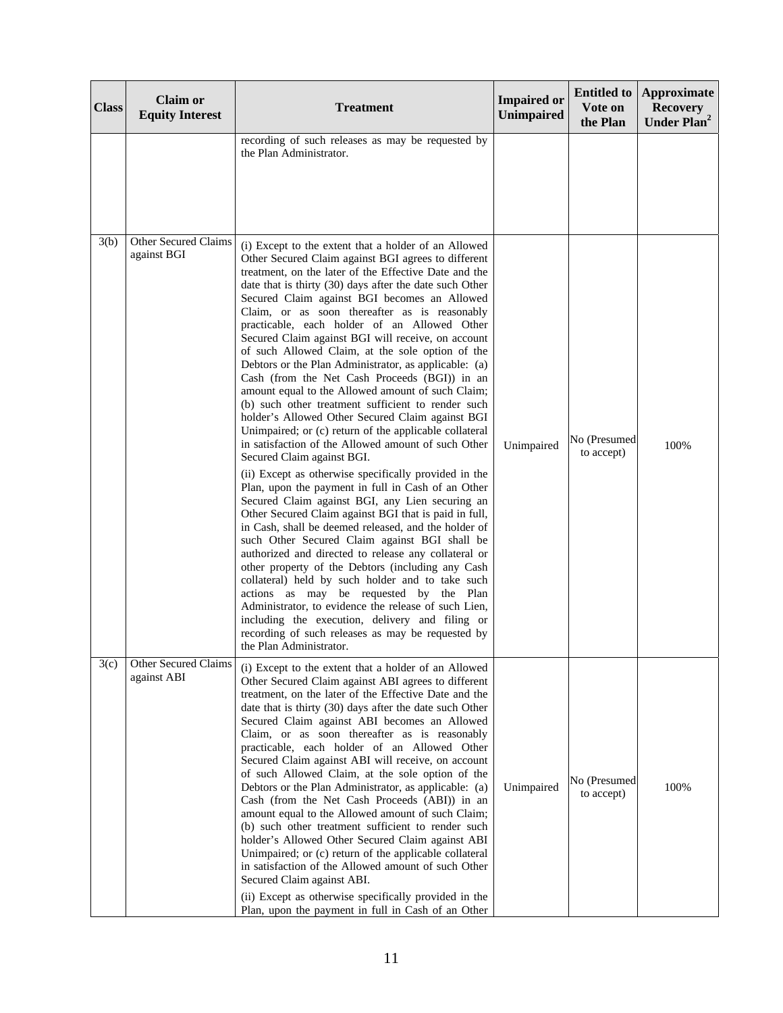| <b>Class</b> | <b>Claim or</b><br><b>Equity Interest</b>  | <b>Treatment</b>                                                                                                                                                                                                                                                                                                                                                                                                                                                                                                                                                                                                                                                                                                                                                                                                                                                                                                                                                                                                                                                                                                                                                                                                                                                                                                                                                                                                                                                                                                                                                                                                                                              | <b>Impaired or</b><br>Unimpaired | <b>Entitled to</b><br>Vote on<br>the Plan | <b>Approximate</b><br><b>Recovery</b><br>Under Plan <sup>2</sup> |
|--------------|--------------------------------------------|---------------------------------------------------------------------------------------------------------------------------------------------------------------------------------------------------------------------------------------------------------------------------------------------------------------------------------------------------------------------------------------------------------------------------------------------------------------------------------------------------------------------------------------------------------------------------------------------------------------------------------------------------------------------------------------------------------------------------------------------------------------------------------------------------------------------------------------------------------------------------------------------------------------------------------------------------------------------------------------------------------------------------------------------------------------------------------------------------------------------------------------------------------------------------------------------------------------------------------------------------------------------------------------------------------------------------------------------------------------------------------------------------------------------------------------------------------------------------------------------------------------------------------------------------------------------------------------------------------------------------------------------------------------|----------------------------------|-------------------------------------------|------------------------------------------------------------------|
|              |                                            | recording of such releases as may be requested by<br>the Plan Administrator.                                                                                                                                                                                                                                                                                                                                                                                                                                                                                                                                                                                                                                                                                                                                                                                                                                                                                                                                                                                                                                                                                                                                                                                                                                                                                                                                                                                                                                                                                                                                                                                  |                                  |                                           |                                                                  |
| 3(b)         | Other Secured Claims<br>against BGI        | (i) Except to the extent that a holder of an Allowed<br>Other Secured Claim against BGI agrees to different<br>treatment, on the later of the Effective Date and the<br>date that is thirty (30) days after the date such Other<br>Secured Claim against BGI becomes an Allowed<br>Claim, or as soon thereafter as is reasonably<br>practicable, each holder of an Allowed Other<br>Secured Claim against BGI will receive, on account<br>of such Allowed Claim, at the sole option of the<br>Debtors or the Plan Administrator, as applicable: (a)<br>Cash (from the Net Cash Proceeds (BGI)) in an<br>amount equal to the Allowed amount of such Claim;<br>(b) such other treatment sufficient to render such<br>holder's Allowed Other Secured Claim against BGI<br>Unimpaired; or (c) return of the applicable collateral<br>in satisfaction of the Allowed amount of such Other<br>Secured Claim against BGI.<br>(ii) Except as otherwise specifically provided in the<br>Plan, upon the payment in full in Cash of an Other<br>Secured Claim against BGI, any Lien securing an<br>Other Secured Claim against BGI that is paid in full,<br>in Cash, shall be deemed released, and the holder of<br>such Other Secured Claim against BGI shall be<br>authorized and directed to release any collateral or<br>other property of the Debtors (including any Cash<br>collateral) held by such holder and to take such<br>actions as may be requested by the Plan<br>Administrator, to evidence the release of such Lien,<br>including the execution, delivery and filing or<br>recording of such releases as may be requested by<br>the Plan Administrator. | Unimpaired                       | No (Presumed<br>to accept)                | 100%                                                             |
| 3(c)         | <b>Other Secured Claims</b><br>against ABI | (i) Except to the extent that a holder of an Allowed<br>Other Secured Claim against ABI agrees to different<br>treatment, on the later of the Effective Date and the<br>date that is thirty (30) days after the date such Other<br>Secured Claim against ABI becomes an Allowed<br>Claim, or as soon thereafter as is reasonably<br>practicable, each holder of an Allowed Other<br>Secured Claim against ABI will receive, on account<br>of such Allowed Claim, at the sole option of the<br>Debtors or the Plan Administrator, as applicable: (a)<br>Cash (from the Net Cash Proceeds (ABI)) in an<br>amount equal to the Allowed amount of such Claim;<br>(b) such other treatment sufficient to render such<br>holder's Allowed Other Secured Claim against ABI<br>Unimpaired; or (c) return of the applicable collateral<br>in satisfaction of the Allowed amount of such Other<br>Secured Claim against ABI.<br>(ii) Except as otherwise specifically provided in the<br>Plan, upon the payment in full in Cash of an Other                                                                                                                                                                                                                                                                                                                                                                                                                                                                                                                                                                                                                             | Unimpaired                       | No (Presumed<br>to accept)                | 100%                                                             |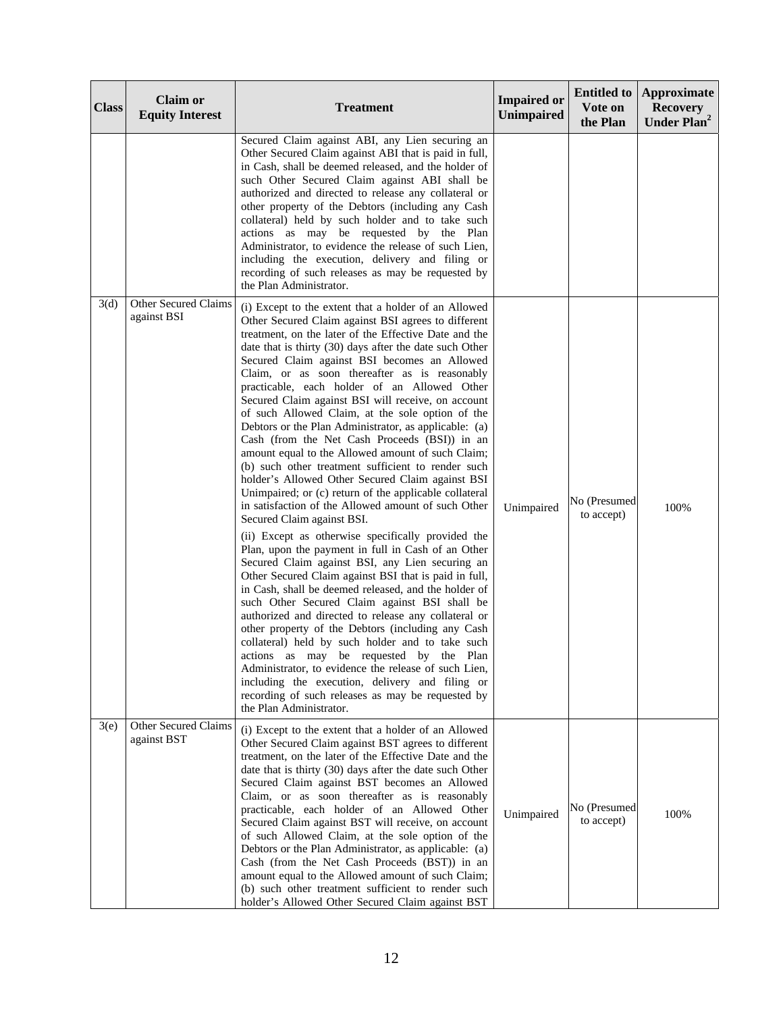| <b>Class</b> | <b>Claim or</b><br><b>Equity Interest</b> | <b>Treatment</b>                                                                                                                                                                                                                                                                                                                                                                                                                                                                                                                                                                                                                                                                                                                                                                                                                                                                                                                                                                                                                                                                                                                                                                                                                                                                                                                                                                                                                                                                                                                                                                                                                                           | <b>Impaired or</b><br>Unimpaired | <b>Entitled to</b><br>Vote on<br>the Plan | <b>Approximate</b><br><b>Recovery</b><br>Under Plan <sup>2</sup> |
|--------------|-------------------------------------------|------------------------------------------------------------------------------------------------------------------------------------------------------------------------------------------------------------------------------------------------------------------------------------------------------------------------------------------------------------------------------------------------------------------------------------------------------------------------------------------------------------------------------------------------------------------------------------------------------------------------------------------------------------------------------------------------------------------------------------------------------------------------------------------------------------------------------------------------------------------------------------------------------------------------------------------------------------------------------------------------------------------------------------------------------------------------------------------------------------------------------------------------------------------------------------------------------------------------------------------------------------------------------------------------------------------------------------------------------------------------------------------------------------------------------------------------------------------------------------------------------------------------------------------------------------------------------------------------------------------------------------------------------------|----------------------------------|-------------------------------------------|------------------------------------------------------------------|
|              |                                           | Secured Claim against ABI, any Lien securing an<br>Other Secured Claim against ABI that is paid in full,<br>in Cash, shall be deemed released, and the holder of<br>such Other Secured Claim against ABI shall be<br>authorized and directed to release any collateral or<br>other property of the Debtors (including any Cash<br>collateral) held by such holder and to take such<br>actions as may be requested by the Plan<br>Administrator, to evidence the release of such Lien,<br>including the execution, delivery and filing or<br>recording of such releases as may be requested by<br>the Plan Administrator.                                                                                                                                                                                                                                                                                                                                                                                                                                                                                                                                                                                                                                                                                                                                                                                                                                                                                                                                                                                                                                   |                                  |                                           |                                                                  |
| 3(d)         | Other Secured Claims<br>against BSI       | (i) Except to the extent that a holder of an Allowed<br>Other Secured Claim against BSI agrees to different<br>treatment, on the later of the Effective Date and the<br>date that is thirty (30) days after the date such Other<br>Secured Claim against BSI becomes an Allowed<br>Claim, or as soon thereafter as is reasonably<br>practicable, each holder of an Allowed Other<br>Secured Claim against BSI will receive, on account<br>of such Allowed Claim, at the sole option of the<br>Debtors or the Plan Administrator, as applicable: (a)<br>Cash (from the Net Cash Proceeds (BSI)) in an<br>amount equal to the Allowed amount of such Claim;<br>(b) such other treatment sufficient to render such<br>holder's Allowed Other Secured Claim against BSI<br>Unimpaired; or (c) return of the applicable collateral<br>in satisfaction of the Allowed amount of such Other<br>Secured Claim against BSI.<br>(ii) Except as otherwise specifically provided the<br>Plan, upon the payment in full in Cash of an Other<br>Secured Claim against BSI, any Lien securing an<br>Other Secured Claim against BSI that is paid in full,<br>in Cash, shall be deemed released, and the holder of<br>such Other Secured Claim against BSI shall be<br>authorized and directed to release any collateral or<br>other property of the Debtors (including any Cash<br>collateral) held by such holder and to take such<br>actions as may be requested by the Plan<br>Administrator, to evidence the release of such Lien,<br>including the execution, delivery and filing or<br>recording of such releases as may be requested by<br>the Plan Administrator. | Unimpaired                       | No (Presumed<br>to accept)                | 100%                                                             |
| 3(e)         | Other Secured Claims<br>against BST       | (i) Except to the extent that a holder of an Allowed<br>Other Secured Claim against BST agrees to different<br>treatment, on the later of the Effective Date and the<br>date that is thirty (30) days after the date such Other<br>Secured Claim against BST becomes an Allowed<br>Claim, or as soon thereafter as is reasonably<br>practicable, each holder of an Allowed Other<br>Secured Claim against BST will receive, on account<br>of such Allowed Claim, at the sole option of the<br>Debtors or the Plan Administrator, as applicable: (a)<br>Cash (from the Net Cash Proceeds (BST)) in an<br>amount equal to the Allowed amount of such Claim;<br>(b) such other treatment sufficient to render such<br>holder's Allowed Other Secured Claim against BST                                                                                                                                                                                                                                                                                                                                                                                                                                                                                                                                                                                                                                                                                                                                                                                                                                                                                        | Unimpaired                       | No (Presumed<br>to accept)                | 100%                                                             |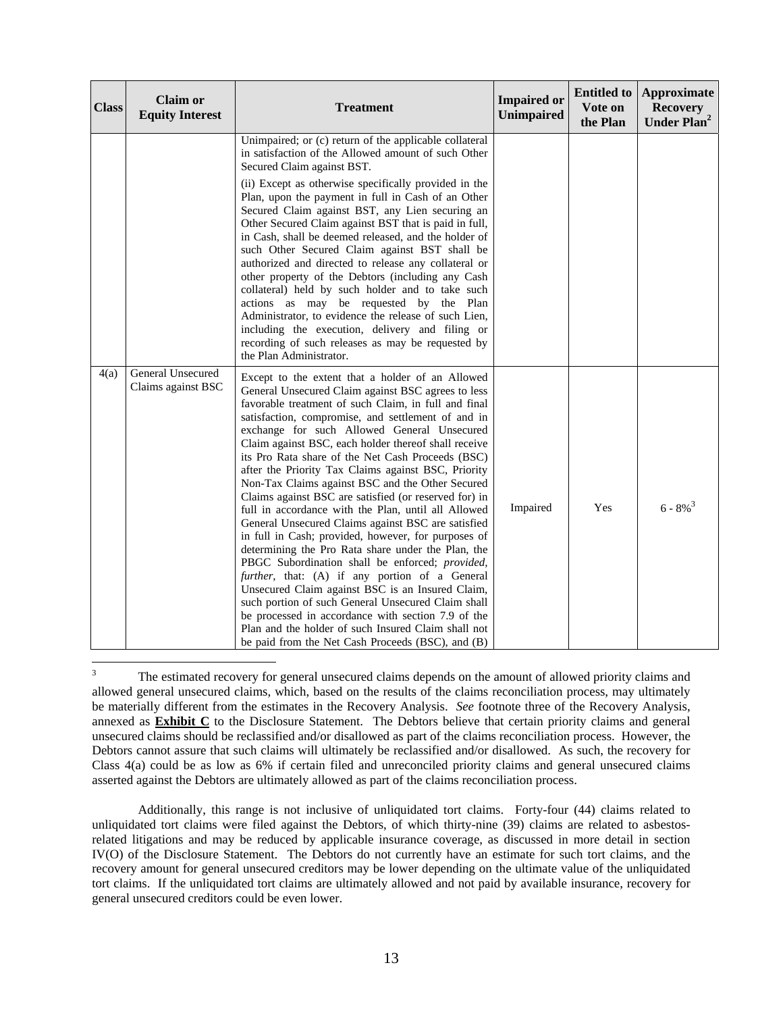| <b>Class</b> | <b>Claim or</b><br><b>Equity Interest</b> | <b>Treatment</b>                                                                                                                                                                                                                                                                                                                                                                                                                                                                                                                                                                                                                                                                                                                                                                                                                                                                                                                                                                                                                                                                                                                                                | <b>Impaired or</b><br><b>Unimpaired</b> | <b>Entitled to</b><br>Vote on<br>the Plan | Approximate<br><b>Recovery</b><br>Under Plan <sup>2</sup> |
|--------------|-------------------------------------------|-----------------------------------------------------------------------------------------------------------------------------------------------------------------------------------------------------------------------------------------------------------------------------------------------------------------------------------------------------------------------------------------------------------------------------------------------------------------------------------------------------------------------------------------------------------------------------------------------------------------------------------------------------------------------------------------------------------------------------------------------------------------------------------------------------------------------------------------------------------------------------------------------------------------------------------------------------------------------------------------------------------------------------------------------------------------------------------------------------------------------------------------------------------------|-----------------------------------------|-------------------------------------------|-----------------------------------------------------------|
|              |                                           | Unimpaired; or (c) return of the applicable collateral<br>in satisfaction of the Allowed amount of such Other<br>Secured Claim against BST.<br>(ii) Except as otherwise specifically provided in the<br>Plan, upon the payment in full in Cash of an Other<br>Secured Claim against BST, any Lien securing an<br>Other Secured Claim against BST that is paid in full,<br>in Cash, shall be deemed released, and the holder of<br>such Other Secured Claim against BST shall be<br>authorized and directed to release any collateral or<br>other property of the Debtors (including any Cash<br>collateral) held by such holder and to take such<br>actions as may be requested by the Plan<br>Administrator, to evidence the release of such Lien,<br>including the execution, delivery and filing or<br>recording of such releases as may be requested by<br>the Plan Administrator.                                                                                                                                                                                                                                                                          |                                         |                                           |                                                           |
| 4(a)         | General Unsecured<br>Claims against BSC   | Except to the extent that a holder of an Allowed<br>General Unsecured Claim against BSC agrees to less<br>favorable treatment of such Claim, in full and final<br>satisfaction, compromise, and settlement of and in<br>exchange for such Allowed General Unsecured<br>Claim against BSC, each holder thereof shall receive<br>its Pro Rata share of the Net Cash Proceeds (BSC)<br>after the Priority Tax Claims against BSC, Priority<br>Non-Tax Claims against BSC and the Other Secured<br>Claims against BSC are satisfied (or reserved for) in<br>full in accordance with the Plan, until all Allowed<br>General Unsecured Claims against BSC are satisfied<br>in full in Cash; provided, however, for purposes of<br>determining the Pro Rata share under the Plan, the<br>PBGC Subordination shall be enforced; provided,<br>further, that: (A) if any portion of a General<br>Unsecured Claim against BSC is an Insured Claim,<br>such portion of such General Unsecured Claim shall<br>be processed in accordance with section 7.9 of the<br>Plan and the holder of such Insured Claim shall not<br>be paid from the Net Cash Proceeds (BSC), and (B) | Impaired                                | Yes                                       | $6 - 8\%^{3}$                                             |

<sup>&</sup>lt;sup>2</sup><br>3 The estimated recovery for general unsecured claims depends on the amount of allowed priority claims and allowed general unsecured claims, which, based on the results of the claims reconciliation process, may ultimately be materially different from the estimates in the Recovery Analysis. *See* footnote three of the Recovery Analysis, annexed as **Exhibit C** to the Disclosure Statement. The Debtors believe that certain priority claims and general unsecured claims should be reclassified and/or disallowed as part of the claims reconciliation process. However, the Debtors cannot assure that such claims will ultimately be reclassified and/or disallowed. As such, the recovery for Class 4(a) could be as low as 6% if certain filed and unreconciled priority claims and general unsecured claims asserted against the Debtors are ultimately allowed as part of the claims reconciliation process.

 Additionally, this range is not inclusive of unliquidated tort claims. Forty-four (44) claims related to unliquidated tort claims were filed against the Debtors, of which thirty-nine (39) claims are related to asbestosrelated litigations and may be reduced by applicable insurance coverage, as discussed in more detail in section IV(O) of the Disclosure Statement. The Debtors do not currently have an estimate for such tort claims, and the recovery amount for general unsecured creditors may be lower depending on the ultimate value of the unliquidated tort claims. If the unliquidated tort claims are ultimately allowed and not paid by available insurance, recovery for general unsecured creditors could be even lower.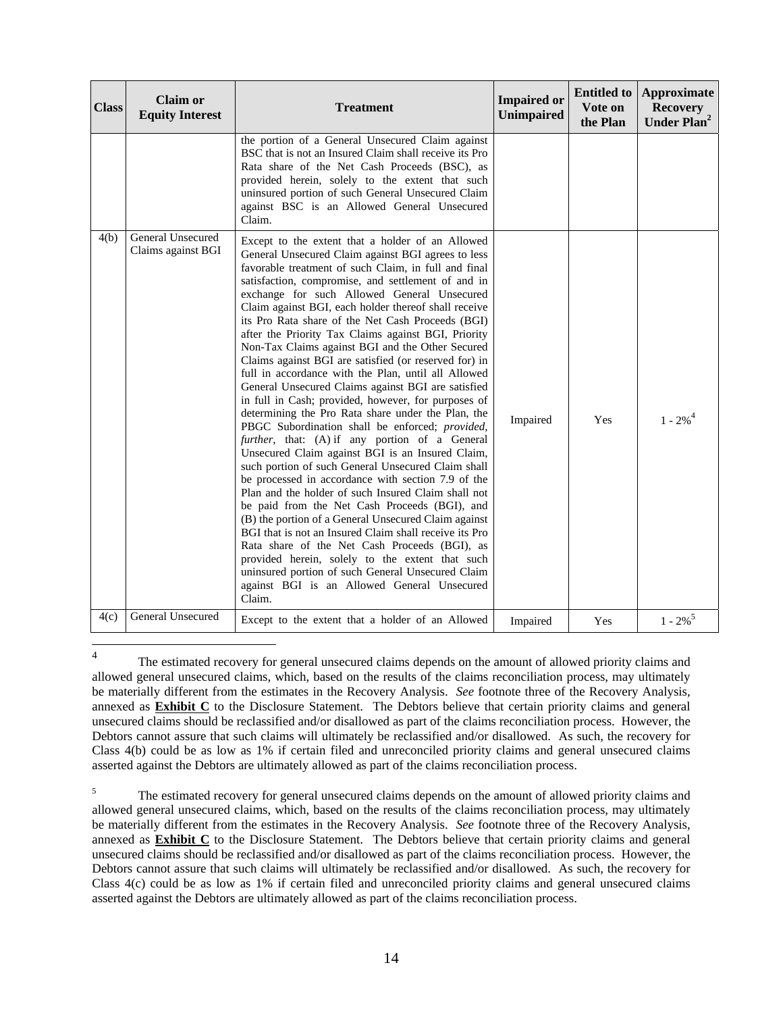| <b>Class</b> | <b>Claim or</b><br><b>Equity Interest</b> | <b>Treatment</b>                                                                                                                                                                                                                                                                                                                                                                                                                                                                                                                                                                                                                                                                                                                                                                                                                                                                                                                                                                                                                                                                                                                                                                                                                                                                                                                                                                                                                                                                                | <b>Impaired or</b><br><b>Unimpaired</b> | <b>Entitled to</b><br>Vote on<br>the Plan | Approximate<br><b>Recovery</b><br>Under Plan <sup>2</sup> |
|--------------|-------------------------------------------|-------------------------------------------------------------------------------------------------------------------------------------------------------------------------------------------------------------------------------------------------------------------------------------------------------------------------------------------------------------------------------------------------------------------------------------------------------------------------------------------------------------------------------------------------------------------------------------------------------------------------------------------------------------------------------------------------------------------------------------------------------------------------------------------------------------------------------------------------------------------------------------------------------------------------------------------------------------------------------------------------------------------------------------------------------------------------------------------------------------------------------------------------------------------------------------------------------------------------------------------------------------------------------------------------------------------------------------------------------------------------------------------------------------------------------------------------------------------------------------------------|-----------------------------------------|-------------------------------------------|-----------------------------------------------------------|
|              |                                           | the portion of a General Unsecured Claim against<br>BSC that is not an Insured Claim shall receive its Pro<br>Rata share of the Net Cash Proceeds (BSC), as<br>provided herein, solely to the extent that such<br>uninsured portion of such General Unsecured Claim<br>against BSC is an Allowed General Unsecured<br>Claim.                                                                                                                                                                                                                                                                                                                                                                                                                                                                                                                                                                                                                                                                                                                                                                                                                                                                                                                                                                                                                                                                                                                                                                    |                                         |                                           |                                                           |
| 4(b)         | General Unsecured<br>Claims against BGI   | Except to the extent that a holder of an Allowed<br>General Unsecured Claim against BGI agrees to less<br>favorable treatment of such Claim, in full and final<br>satisfaction, compromise, and settlement of and in<br>exchange for such Allowed General Unsecured<br>Claim against BGI, each holder thereof shall receive<br>its Pro Rata share of the Net Cash Proceeds (BGI)<br>after the Priority Tax Claims against BGI, Priority<br>Non-Tax Claims against BGI and the Other Secured<br>Claims against BGI are satisfied (or reserved for) in<br>full in accordance with the Plan, until all Allowed<br>General Unsecured Claims against BGI are satisfied<br>in full in Cash; provided, however, for purposes of<br>determining the Pro Rata share under the Plan, the<br>PBGC Subordination shall be enforced; provided,<br>further, that: (A) if any portion of a General<br>Unsecured Claim against BGI is an Insured Claim,<br>such portion of such General Unsecured Claim shall<br>be processed in accordance with section 7.9 of the<br>Plan and the holder of such Insured Claim shall not<br>be paid from the Net Cash Proceeds (BGI), and<br>(B) the portion of a General Unsecured Claim against<br>BGI that is not an Insured Claim shall receive its Pro<br>Rata share of the Net Cash Proceeds (BGI), as<br>provided herein, solely to the extent that such<br>uninsured portion of such General Unsecured Claim<br>against BGI is an Allowed General Unsecured<br>Claim. | Impaired                                | <b>Yes</b>                                | $1 - 2\%$ <sup>4</sup>                                    |
| 4(c)         | General Unsecured                         | Except to the extent that a holder of an Allowed                                                                                                                                                                                                                                                                                                                                                                                                                                                                                                                                                                                                                                                                                                                                                                                                                                                                                                                                                                                                                                                                                                                                                                                                                                                                                                                                                                                                                                                | Impaired                                | Yes                                       | $1 - 2\%$ <sup>5</sup>                                    |

 $\frac{1}{4}$  The estimated recovery for general unsecured claims depends on the amount of allowed priority claims and allowed general unsecured claims, which, based on the results of the claims reconciliation process, may ultimately be materially different from the estimates in the Recovery Analysis. *See* footnote three of the Recovery Analysis, annexed as **Exhibit C** to the Disclosure Statement. The Debtors believe that certain priority claims and general unsecured claims should be reclassified and/or disallowed as part of the claims reconciliation process. However, the Debtors cannot assure that such claims will ultimately be reclassified and/or disallowed. As such, the recovery for Class 4(b) could be as low as 1% if certain filed and unreconciled priority claims and general unsecured claims asserted against the Debtors are ultimately allowed as part of the claims reconciliation process.

5 The estimated recovery for general unsecured claims depends on the amount of allowed priority claims and allowed general unsecured claims, which, based on the results of the claims reconciliation process, may ultimately be materially different from the estimates in the Recovery Analysis. *See* footnote three of the Recovery Analysis, annexed as **Exhibit C** to the Disclosure Statement. The Debtors believe that certain priority claims and general unsecured claims should be reclassified and/or disallowed as part of the claims reconciliation process. However, the Debtors cannot assure that such claims will ultimately be reclassified and/or disallowed. As such, the recovery for Class 4(c) could be as low as 1% if certain filed and unreconciled priority claims and general unsecured claims asserted against the Debtors are ultimately allowed as part of the claims reconciliation process.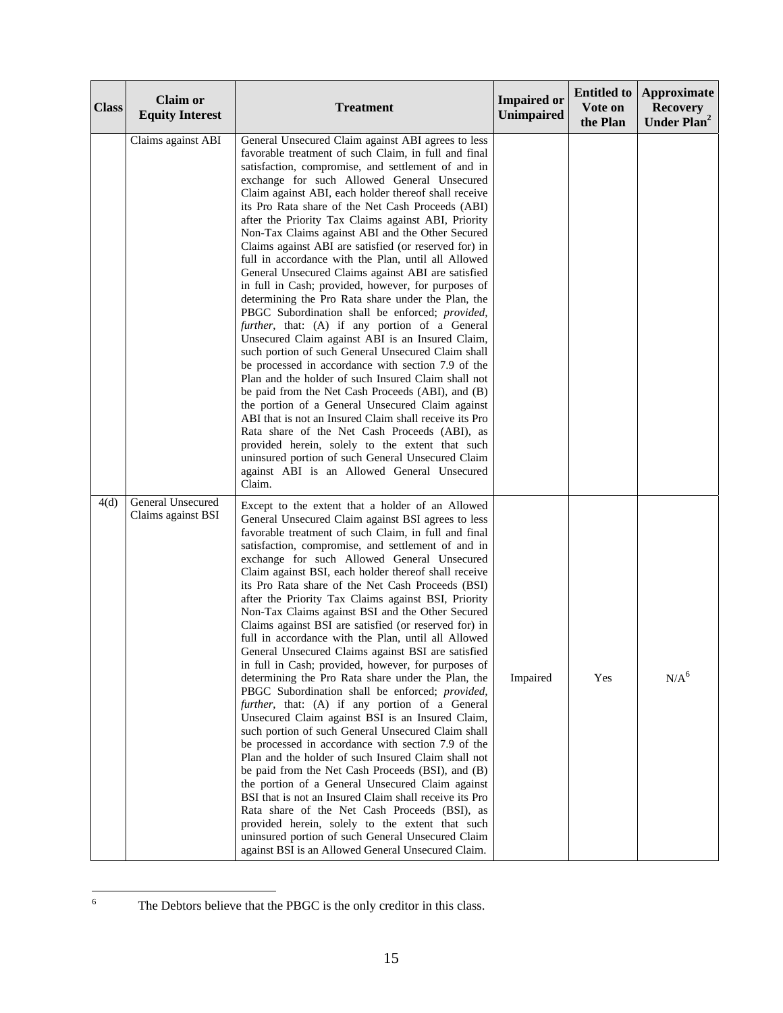| <b>Class</b> | <b>Claim or</b><br><b>Equity Interest</b> | <b>Treatment</b>                                                                                                                                                                                                                                                                                                                                                                                                                                                                                                                                                                                                                                                                                                                                                                                                                                                                                                                                                                                                                                                                                                                                                                                                                                                                                                                                                                                                                                                                             | <b>Impaired or</b><br><b>Unimpaired</b> | <b>Entitled to</b><br>Vote on<br>the Plan | Approximate<br><b>Recovery</b><br>Under Plan <sup>2</sup> |
|--------------|-------------------------------------------|----------------------------------------------------------------------------------------------------------------------------------------------------------------------------------------------------------------------------------------------------------------------------------------------------------------------------------------------------------------------------------------------------------------------------------------------------------------------------------------------------------------------------------------------------------------------------------------------------------------------------------------------------------------------------------------------------------------------------------------------------------------------------------------------------------------------------------------------------------------------------------------------------------------------------------------------------------------------------------------------------------------------------------------------------------------------------------------------------------------------------------------------------------------------------------------------------------------------------------------------------------------------------------------------------------------------------------------------------------------------------------------------------------------------------------------------------------------------------------------------|-----------------------------------------|-------------------------------------------|-----------------------------------------------------------|
|              | Claims against ABI                        | General Unsecured Claim against ABI agrees to less<br>favorable treatment of such Claim, in full and final<br>satisfaction, compromise, and settlement of and in<br>exchange for such Allowed General Unsecured<br>Claim against ABI, each holder thereof shall receive<br>its Pro Rata share of the Net Cash Proceeds (ABI)<br>after the Priority Tax Claims against ABI, Priority<br>Non-Tax Claims against ABI and the Other Secured<br>Claims against ABI are satisfied (or reserved for) in<br>full in accordance with the Plan, until all Allowed<br>General Unsecured Claims against ABI are satisfied<br>in full in Cash; provided, however, for purposes of<br>determining the Pro Rata share under the Plan, the<br>PBGC Subordination shall be enforced; provided,<br>further, that: (A) if any portion of a General<br>Unsecured Claim against ABI is an Insured Claim,<br>such portion of such General Unsecured Claim shall<br>be processed in accordance with section 7.9 of the<br>Plan and the holder of such Insured Claim shall not<br>be paid from the Net Cash Proceeds (ABI), and (B)<br>the portion of a General Unsecured Claim against<br>ABI that is not an Insured Claim shall receive its Pro<br>Rata share of the Net Cash Proceeds (ABI), as<br>provided herein, solely to the extent that such<br>uninsured portion of such General Unsecured Claim<br>against ABI is an Allowed General Unsecured<br>Claim.                                                  |                                         |                                           |                                                           |
| 4(d)         | General Unsecured<br>Claims against BSI   | Except to the extent that a holder of an Allowed<br>General Unsecured Claim against BSI agrees to less<br>favorable treatment of such Claim, in full and final<br>satisfaction, compromise, and settlement of and in<br>exchange for such Allowed General Unsecured<br>Claim against BSI, each holder thereof shall receive<br>its Pro Rata share of the Net Cash Proceeds (BSI)<br>after the Priority Tax Claims against BSI, Priority<br>Non-Tax Claims against BSI and the Other Secured<br>Claims against BSI are satisfied (or reserved for) in<br>full in accordance with the Plan, until all Allowed<br>General Unsecured Claims against BSI are satisfied<br>in full in Cash; provided, however, for purposes of<br>determining the Pro Rata share under the Plan, the<br>PBGC Subordination shall be enforced; provided,<br>further, that: (A) if any portion of a General<br>Unsecured Claim against BSI is an Insured Claim,<br>such portion of such General Unsecured Claim shall<br>be processed in accordance with section 7.9 of the<br>Plan and the holder of such Insured Claim shall not<br>be paid from the Net Cash Proceeds (BSI), and (B)<br>the portion of a General Unsecured Claim against<br>BSI that is not an Insured Claim shall receive its Pro<br>Rata share of the Net Cash Proceeds (BSI), as<br>provided herein, solely to the extent that such<br>uninsured portion of such General Unsecured Claim<br>against BSI is an Allowed General Unsecured Claim. | Impaired                                | Yes                                       | N/A <sup>6</sup>                                          |

The Debtors believe that the PBGC is the only creditor in this class.

 $\frac{1}{6}$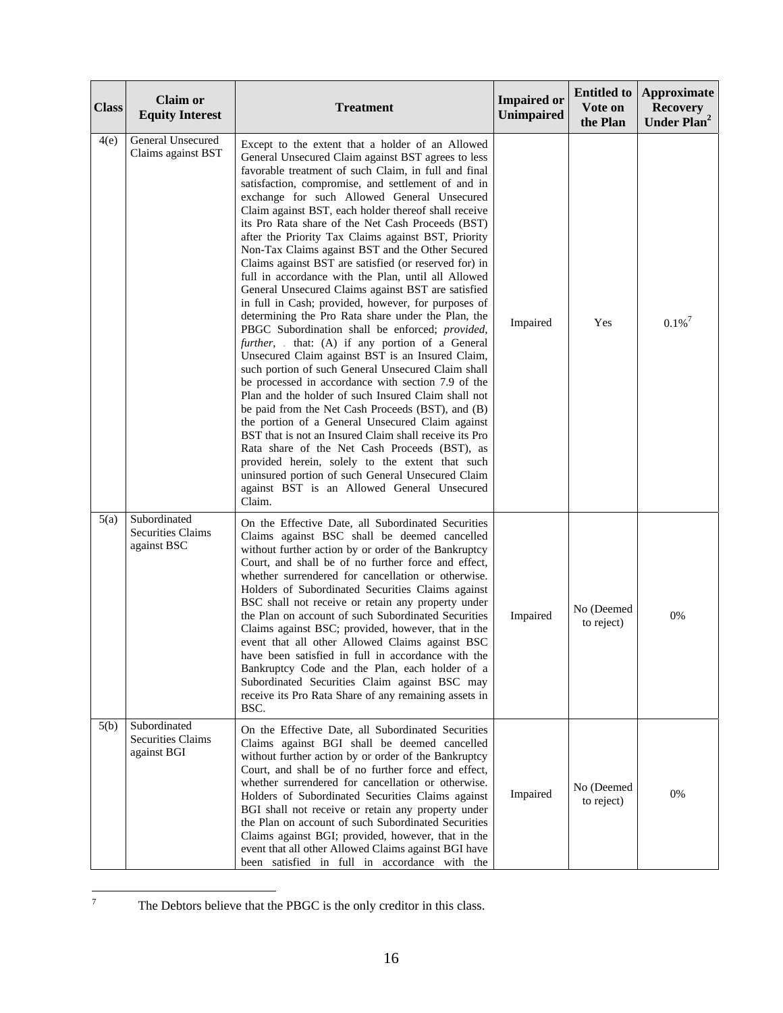| <b>Class</b> | <b>Claim or</b><br><b>Equity Interest</b>               | <b>Treatment</b>                                                                                                                                                                                                                                                                                                                                                                                                                                                                                                                                                                                                                                                                                                                                                                                                                                                                                                                                                                                                                                                                                                                                                                                                                                                                                                                                                                                                                                                                                  | <b>Impaired or</b><br>Unimpaired | <b>Entitled to</b><br>Vote on<br>the Plan | Approximate<br><b>Recovery</b><br>Under Plan <sup>2</sup> |
|--------------|---------------------------------------------------------|---------------------------------------------------------------------------------------------------------------------------------------------------------------------------------------------------------------------------------------------------------------------------------------------------------------------------------------------------------------------------------------------------------------------------------------------------------------------------------------------------------------------------------------------------------------------------------------------------------------------------------------------------------------------------------------------------------------------------------------------------------------------------------------------------------------------------------------------------------------------------------------------------------------------------------------------------------------------------------------------------------------------------------------------------------------------------------------------------------------------------------------------------------------------------------------------------------------------------------------------------------------------------------------------------------------------------------------------------------------------------------------------------------------------------------------------------------------------------------------------------|----------------------------------|-------------------------------------------|-----------------------------------------------------------|
| 4(e)         | General Unsecured<br>Claims against BST                 | Except to the extent that a holder of an Allowed<br>General Unsecured Claim against BST agrees to less<br>favorable treatment of such Claim, in full and final<br>satisfaction, compromise, and settlement of and in<br>exchange for such Allowed General Unsecured<br>Claim against BST, each holder thereof shall receive<br>its Pro Rata share of the Net Cash Proceeds (BST)<br>after the Priority Tax Claims against BST, Priority<br>Non-Tax Claims against BST and the Other Secured<br>Claims against BST are satisfied (or reserved for) in<br>full in accordance with the Plan, until all Allowed<br>General Unsecured Claims against BST are satisfied<br>in full in Cash; provided, however, for purposes of<br>determining the Pro Rata share under the Plan, the<br>PBGC Subordination shall be enforced; provided,<br>further, . that: (A) if any portion of a General<br>Unsecured Claim against BST is an Insured Claim,<br>such portion of such General Unsecured Claim shall<br>be processed in accordance with section 7.9 of the<br>Plan and the holder of such Insured Claim shall not<br>be paid from the Net Cash Proceeds (BST), and (B)<br>the portion of a General Unsecured Claim against<br>BST that is not an Insured Claim shall receive its Pro<br>Rata share of the Net Cash Proceeds (BST), as<br>provided herein, solely to the extent that such<br>uninsured portion of such General Unsecured Claim<br>against BST is an Allowed General Unsecured<br>Claim. | Impaired                         | Yes                                       | $0.1\%$ <sup>7</sup>                                      |
| 5(a)         | Subordinated<br><b>Securities Claims</b><br>against BSC | On the Effective Date, all Subordinated Securities<br>Claims against BSC shall be deemed cancelled<br>without further action by or order of the Bankruptcy<br>Court, and shall be of no further force and effect,<br>whether surrendered for cancellation or otherwise.<br>Holders of Subordinated Securities Claims against<br>BSC shall not receive or retain any property under<br>the Plan on account of such Subordinated Securities<br>Claims against BSC; provided, however, that in the<br>event that all other Allowed Claims against BSC<br>have been satisfied in full in accordance with the<br>Bankruptcy Code and the Plan, each holder of a<br>Subordinated Securities Claim against BSC may<br>receive its Pro Rata Share of any remaining assets in<br>BSC.                                                                                                                                                                                                                                                                                                                                                                                                                                                                                                                                                                                                                                                                                                                      | Impaired                         | No (Deemed<br>to reject)                  | 0%                                                        |
| 5(b)         | Subordinated<br><b>Securities Claims</b><br>against BGI | On the Effective Date, all Subordinated Securities<br>Claims against BGI shall be deemed cancelled<br>without further action by or order of the Bankruptcy<br>Court, and shall be of no further force and effect,<br>whether surrendered for cancellation or otherwise.<br>Holders of Subordinated Securities Claims against<br>BGI shall not receive or retain any property under<br>the Plan on account of such Subordinated Securities<br>Claims against BGI; provided, however, that in the<br>event that all other Allowed Claims against BGI have<br>been satisfied in full in accordance with the                                                                                                                                                                                                                                                                                                                                                                                                                                                                                                                                                                                                                                                                                                                                                                                                                                                                                          | Impaired                         | No (Deemed<br>to reject)                  | 0%                                                        |

The Debtors believe that the PBGC is the only creditor in this class.

-<br>7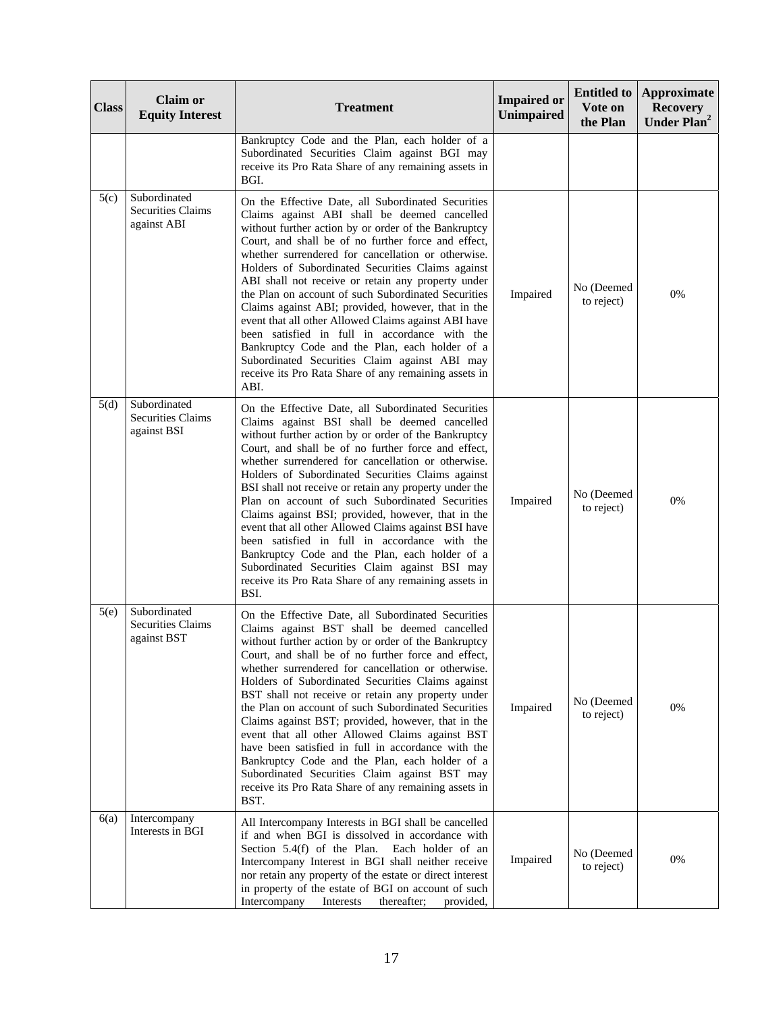| <b>Class</b> | <b>Claim or</b><br><b>Equity Interest</b>               | <b>Treatment</b>                                                                                                                                                                                                                                                                                                                                                                                                                                                                                                                                                                                                                                                                                                                                                             | <b>Impaired or</b><br><b>Unimpaired</b> | <b>Entitled to</b><br>Vote on<br>the Plan | <b>Approximate</b><br><b>Recovery</b><br>Under Plan <sup>2</sup> |
|--------------|---------------------------------------------------------|------------------------------------------------------------------------------------------------------------------------------------------------------------------------------------------------------------------------------------------------------------------------------------------------------------------------------------------------------------------------------------------------------------------------------------------------------------------------------------------------------------------------------------------------------------------------------------------------------------------------------------------------------------------------------------------------------------------------------------------------------------------------------|-----------------------------------------|-------------------------------------------|------------------------------------------------------------------|
|              |                                                         | Bankruptcy Code and the Plan, each holder of a<br>Subordinated Securities Claim against BGI may<br>receive its Pro Rata Share of any remaining assets in<br>BGI.                                                                                                                                                                                                                                                                                                                                                                                                                                                                                                                                                                                                             |                                         |                                           |                                                                  |
| 5(c)         | Subordinated<br><b>Securities Claims</b><br>against ABI | On the Effective Date, all Subordinated Securities<br>Claims against ABI shall be deemed cancelled<br>without further action by or order of the Bankruptcy<br>Court, and shall be of no further force and effect,<br>whether surrendered for cancellation or otherwise.<br>Holders of Subordinated Securities Claims against<br>ABI shall not receive or retain any property under<br>the Plan on account of such Subordinated Securities<br>Claims against ABI; provided, however, that in the<br>event that all other Allowed Claims against ABI have<br>been satisfied in full in accordance with the<br>Bankruptcy Code and the Plan, each holder of a<br>Subordinated Securities Claim against ABI may<br>receive its Pro Rata Share of any remaining assets in<br>ABI. | Impaired                                | No (Deemed<br>to reject)                  | 0%                                                               |
| 5(d)         | Subordinated<br><b>Securities Claims</b><br>against BSI | On the Effective Date, all Subordinated Securities<br>Claims against BSI shall be deemed cancelled<br>without further action by or order of the Bankruptcy<br>Court, and shall be of no further force and effect,<br>whether surrendered for cancellation or otherwise.<br>Holders of Subordinated Securities Claims against<br>BSI shall not receive or retain any property under the<br>Plan on account of such Subordinated Securities<br>Claims against BSI; provided, however, that in the<br>event that all other Allowed Claims against BSI have<br>been satisfied in full in accordance with the<br>Bankruptcy Code and the Plan, each holder of a<br>Subordinated Securities Claim against BSI may<br>receive its Pro Rata Share of any remaining assets in<br>BSI. | Impaired                                | No (Deemed<br>to reject)                  | 0%                                                               |
| 5(e)         | Subordinated<br><b>Securities Claims</b><br>against BST | On the Effective Date, all Subordinated Securities<br>Claims against BST shall be deemed cancelled<br>without further action by or order of the Bankruptcy<br>Court, and shall be of no further force and effect,<br>whether surrendered for cancellation or otherwise.<br>Holders of Subordinated Securities Claims against<br>BST shall not receive or retain any property under<br>the Plan on account of such Subordinated Securities<br>Claims against BST; provided, however, that in the<br>event that all other Allowed Claims against BST<br>have been satisfied in full in accordance with the<br>Bankruptcy Code and the Plan, each holder of a<br>Subordinated Securities Claim against BST may<br>receive its Pro Rata Share of any remaining assets in<br>BST. | Impaired                                | No (Deemed<br>to reject)                  | 0%                                                               |
| 6(a)         | Intercompany<br>Interests in BGI                        | All Intercompany Interests in BGI shall be cancelled<br>if and when BGI is dissolved in accordance with<br>Section $5.4(f)$ of the Plan.<br>Each holder of an<br>Intercompany Interest in BGI shall neither receive<br>nor retain any property of the estate or direct interest<br>in property of the estate of BGI on account of such<br>Intercompany<br>thereafter;<br>provided,<br>Interests                                                                                                                                                                                                                                                                                                                                                                              | Impaired                                | No (Deemed<br>to reject)                  | 0%                                                               |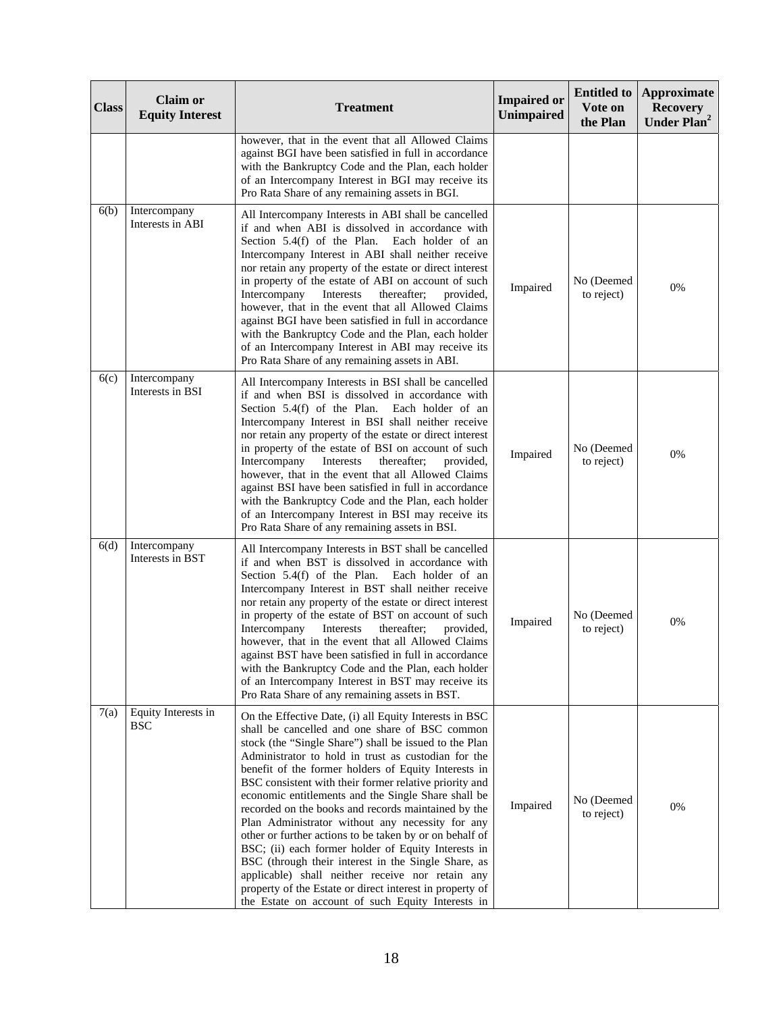| <b>Class</b> | <b>Claim or</b><br><b>Equity Interest</b> | <b>Treatment</b>                                                                                                                                                                                                                                                                                                                                                                                                                                                                                                                                                                                                                                                                                                                                                                                                                                            | <b>Impaired or</b><br>Unimpaired | <b>Entitled</b> to<br>Vote on<br>the Plan | <b>Approximate</b><br><b>Recovery</b><br>Under Plan <sup>2</sup> |
|--------------|-------------------------------------------|-------------------------------------------------------------------------------------------------------------------------------------------------------------------------------------------------------------------------------------------------------------------------------------------------------------------------------------------------------------------------------------------------------------------------------------------------------------------------------------------------------------------------------------------------------------------------------------------------------------------------------------------------------------------------------------------------------------------------------------------------------------------------------------------------------------------------------------------------------------|----------------------------------|-------------------------------------------|------------------------------------------------------------------|
|              |                                           | however, that in the event that all Allowed Claims<br>against BGI have been satisfied in full in accordance<br>with the Bankruptcy Code and the Plan, each holder<br>of an Intercompany Interest in BGI may receive its<br>Pro Rata Share of any remaining assets in BGI.                                                                                                                                                                                                                                                                                                                                                                                                                                                                                                                                                                                   |                                  |                                           |                                                                  |
| 6(b)         | Intercompany<br>Interests in ABI          | All Intercompany Interests in ABI shall be cancelled<br>if and when ABI is dissolved in accordance with<br>Section 5.4(f) of the Plan. Each holder of an<br>Intercompany Interest in ABI shall neither receive<br>nor retain any property of the estate or direct interest<br>in property of the estate of ABI on account of such<br>thereafter;<br>Intercompany<br>Interests<br>provided,<br>however, that in the event that all Allowed Claims<br>against BGI have been satisfied in full in accordance<br>with the Bankruptcy Code and the Plan, each holder<br>of an Intercompany Interest in ABI may receive its<br>Pro Rata Share of any remaining assets in ABI.                                                                                                                                                                                     | Impaired                         | No (Deemed<br>to reject)                  | 0%                                                               |
| 6(c)         | Intercompany<br>Interests in BSI          | All Intercompany Interests in BSI shall be cancelled<br>if and when BSI is dissolved in accordance with<br>Section 5.4(f) of the Plan. Each holder of an<br>Intercompany Interest in BSI shall neither receive<br>nor retain any property of the estate or direct interest<br>in property of the estate of BSI on account of such<br>Intercompany<br>Interests<br>thereafter;<br>provided,<br>however, that in the event that all Allowed Claims<br>against BSI have been satisfied in full in accordance<br>with the Bankruptcy Code and the Plan, each holder<br>of an Intercompany Interest in BSI may receive its<br>Pro Rata Share of any remaining assets in BSI.                                                                                                                                                                                     | Impaired                         | No (Deemed<br>to reject)                  | 0%                                                               |
| 6(d)         | Intercompany<br>Interests in BST          | All Intercompany Interests in BST shall be cancelled<br>if and when BST is dissolved in accordance with<br>Section 5.4(f) of the Plan. Each holder of an<br>Intercompany Interest in BST shall neither receive<br>nor retain any property of the estate or direct interest<br>in property of the estate of BST on account of such<br>Intercompany<br>thereafter;<br>Interests<br>provided,<br>however, that in the event that all Allowed Claims<br>against BST have been satisfied in full in accordance<br>with the Bankruptcy Code and the Plan, each holder<br>of an Intercompany Interest in BST may receive its<br>Pro Rata Share of any remaining assets in BST.                                                                                                                                                                                     | Impaired                         | No (Deemed<br>to reject)                  | 0%                                                               |
| 7(a)         | Equity Interests in<br><b>BSC</b>         | On the Effective Date, (i) all Equity Interests in BSC<br>shall be cancelled and one share of BSC common<br>stock (the "Single Share") shall be issued to the Plan<br>Administrator to hold in trust as custodian for the<br>benefit of the former holders of Equity Interests in<br>BSC consistent with their former relative priority and<br>economic entitlements and the Single Share shall be<br>recorded on the books and records maintained by the<br>Plan Administrator without any necessity for any<br>other or further actions to be taken by or on behalf of<br>BSC; (ii) each former holder of Equity Interests in<br>BSC (through their interest in the Single Share, as<br>applicable) shall neither receive nor retain any<br>property of the Estate or direct interest in property of<br>the Estate on account of such Equity Interests in | Impaired                         | No (Deemed<br>to reject)                  | 0%                                                               |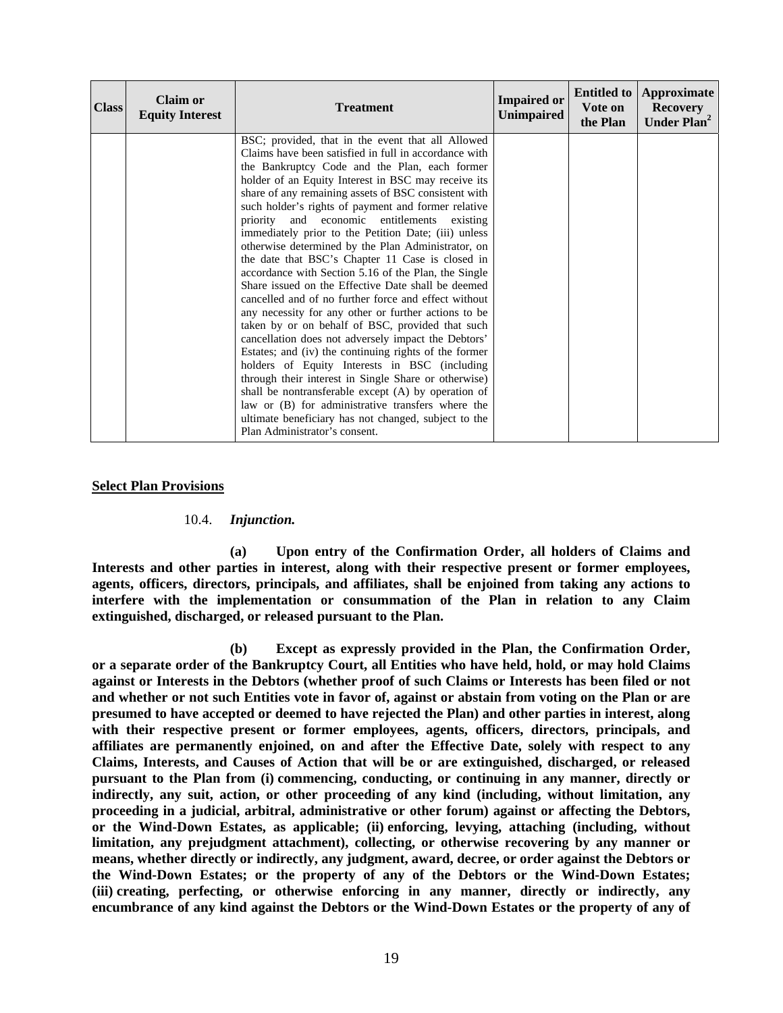| <b>Class</b> | <b>Claim or</b><br><b>Equity Interest</b> | <b>Treatment</b>                                                                                                                                                                                                                                                                                                                                                                                                                                                                                                                                                                                                                                                                                                                                                                                                                                                                                                                                                                                                                                                                                                                                                                                                                                                   | <b>Impaired or</b><br><b>Unimpaired</b> | Vote on<br>the Plan | <b>Entitled to   Approximate</b><br><b>Recovery</b><br>Under Plan <sup>2</sup> |
|--------------|-------------------------------------------|--------------------------------------------------------------------------------------------------------------------------------------------------------------------------------------------------------------------------------------------------------------------------------------------------------------------------------------------------------------------------------------------------------------------------------------------------------------------------------------------------------------------------------------------------------------------------------------------------------------------------------------------------------------------------------------------------------------------------------------------------------------------------------------------------------------------------------------------------------------------------------------------------------------------------------------------------------------------------------------------------------------------------------------------------------------------------------------------------------------------------------------------------------------------------------------------------------------------------------------------------------------------|-----------------------------------------|---------------------|--------------------------------------------------------------------------------|
|              |                                           | BSC; provided, that in the event that all Allowed<br>Claims have been satisfied in full in accordance with<br>the Bankruptcy Code and the Plan, each former<br>holder of an Equity Interest in BSC may receive its<br>share of any remaining assets of BSC consistent with<br>such holder's rights of payment and former relative<br>priority and economic entitlements existing<br>immediately prior to the Petition Date; (iii) unless<br>otherwise determined by the Plan Administrator, on<br>the date that BSC's Chapter 11 Case is closed in<br>accordance with Section 5.16 of the Plan, the Single<br>Share issued on the Effective Date shall be deemed<br>cancelled and of no further force and effect without<br>any necessity for any other or further actions to be<br>taken by or on behalf of BSC, provided that such<br>cancellation does not adversely impact the Debtors'<br>Estates; and (iv) the continuing rights of the former<br>holders of Equity Interests in BSC (including<br>through their interest in Single Share or otherwise)<br>shall be nontransferable except (A) by operation of<br>law or (B) for administrative transfers where the<br>ultimate beneficiary has not changed, subject to the<br>Plan Administrator's consent. |                                         |                     |                                                                                |

### **Select Plan Provisions**

#### 10.4. *Injunction.*

**(a) Upon entry of the Confirmation Order, all holders of Claims and Interests and other parties in interest, along with their respective present or former employees, agents, officers, directors, principals, and affiliates, shall be enjoined from taking any actions to interfere with the implementation or consummation of the Plan in relation to any Claim extinguished, discharged, or released pursuant to the Plan.** 

**(b) Except as expressly provided in the Plan, the Confirmation Order, or a separate order of the Bankruptcy Court, all Entities who have held, hold, or may hold Claims against or Interests in the Debtors (whether proof of such Claims or Interests has been filed or not and whether or not such Entities vote in favor of, against or abstain from voting on the Plan or are presumed to have accepted or deemed to have rejected the Plan) and other parties in interest, along with their respective present or former employees, agents, officers, directors, principals, and affiliates are permanently enjoined, on and after the Effective Date, solely with respect to any Claims, Interests, and Causes of Action that will be or are extinguished, discharged, or released pursuant to the Plan from (i) commencing, conducting, or continuing in any manner, directly or indirectly, any suit, action, or other proceeding of any kind (including, without limitation, any proceeding in a judicial, arbitral, administrative or other forum) against or affecting the Debtors, or the Wind-Down Estates, as applicable; (ii) enforcing, levying, attaching (including, without limitation, any prejudgment attachment), collecting, or otherwise recovering by any manner or means, whether directly or indirectly, any judgment, award, decree, or order against the Debtors or the Wind-Down Estates; or the property of any of the Debtors or the Wind-Down Estates; (iii) creating, perfecting, or otherwise enforcing in any manner, directly or indirectly, any encumbrance of any kind against the Debtors or the Wind-Down Estates or the property of any of**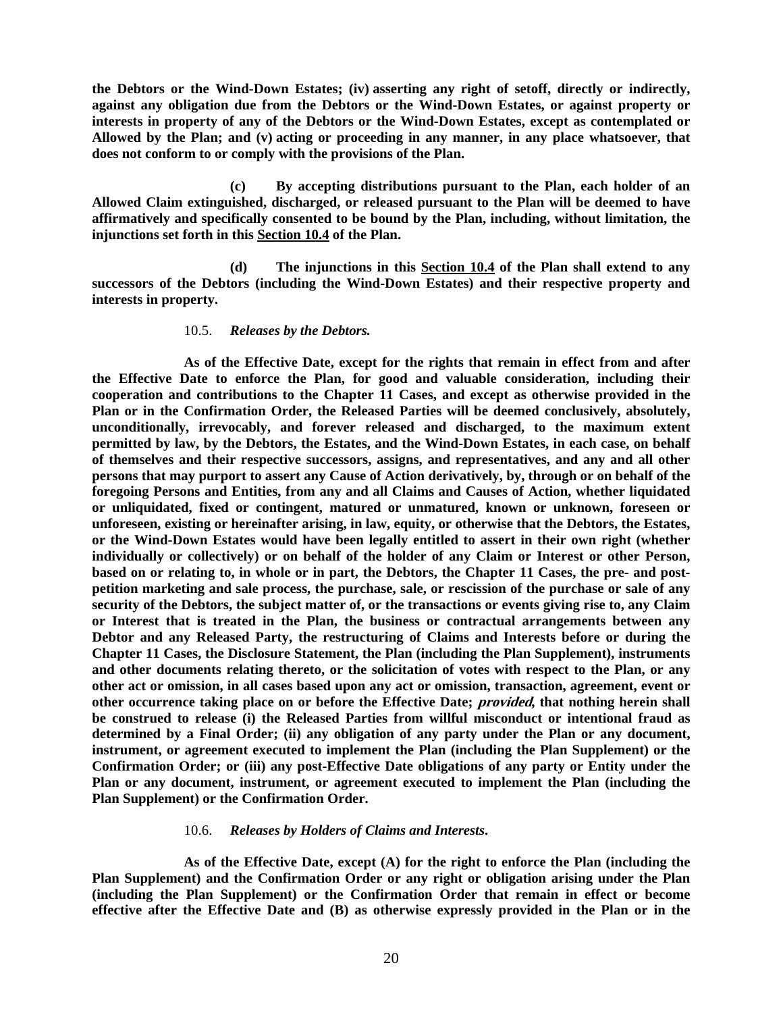**the Debtors or the Wind-Down Estates; (iv) asserting any right of setoff, directly or indirectly, against any obligation due from the Debtors or the Wind-Down Estates, or against property or interests in property of any of the Debtors or the Wind-Down Estates, except as contemplated or Allowed by the Plan; and (v) acting or proceeding in any manner, in any place whatsoever, that does not conform to or comply with the provisions of the Plan.** 

**(c) By accepting distributions pursuant to the Plan, each holder of an Allowed Claim extinguished, discharged, or released pursuant to the Plan will be deemed to have affirmatively and specifically consented to be bound by the Plan, including, without limitation, the injunctions set forth in this Section 10.4 of the Plan.** 

**(d) The injunctions in this Section 10.4 of the Plan shall extend to any successors of the Debtors (including the Wind-Down Estates) and their respective property and interests in property.** 

### 10.5. *Releases by the Debtors.*

**As of the Effective Date, except for the rights that remain in effect from and after the Effective Date to enforce the Plan, for good and valuable consideration, including their cooperation and contributions to the Chapter 11 Cases, and except as otherwise provided in the Plan or in the Confirmation Order, the Released Parties will be deemed conclusively, absolutely, unconditionally, irrevocably, and forever released and discharged, to the maximum extent permitted by law, by the Debtors, the Estates, and the Wind-Down Estates, in each case, on behalf of themselves and their respective successors, assigns, and representatives, and any and all other persons that may purport to assert any Cause of Action derivatively, by, through or on behalf of the foregoing Persons and Entities, from any and all Claims and Causes of Action, whether liquidated or unliquidated, fixed or contingent, matured or unmatured, known or unknown, foreseen or unforeseen, existing or hereinafter arising, in law, equity, or otherwise that the Debtors, the Estates, or the Wind-Down Estates would have been legally entitled to assert in their own right (whether individually or collectively) or on behalf of the holder of any Claim or Interest or other Person, based on or relating to, in whole or in part, the Debtors, the Chapter 11 Cases, the pre- and postpetition marketing and sale process, the purchase, sale, or rescission of the purchase or sale of any security of the Debtors, the subject matter of, or the transactions or events giving rise to, any Claim or Interest that is treated in the Plan, the business or contractual arrangements between any Debtor and any Released Party, the restructuring of Claims and Interests before or during the Chapter 11 Cases, the Disclosure Statement, the Plan (including the Plan Supplement), instruments and other documents relating thereto, or the solicitation of votes with respect to the Plan, or any other act or omission, in all cases based upon any act or omission, transaction, agreement, event or other occurrence taking place on or before the Effective Date; provided, that nothing herein shall be construed to release (i) the Released Parties from willful misconduct or intentional fraud as determined by a Final Order; (ii) any obligation of any party under the Plan or any document, instrument, or agreement executed to implement the Plan (including the Plan Supplement) or the Confirmation Order; or (iii) any post-Effective Date obligations of any party or Entity under the Plan or any document, instrument, or agreement executed to implement the Plan (including the Plan Supplement) or the Confirmation Order.** 

### 10.6. *Releases by Holders of Claims and Interests***.**

**As of the Effective Date, except (A) for the right to enforce the Plan (including the Plan Supplement) and the Confirmation Order or any right or obligation arising under the Plan (including the Plan Supplement) or the Confirmation Order that remain in effect or become effective after the Effective Date and (B) as otherwise expressly provided in the Plan or in the**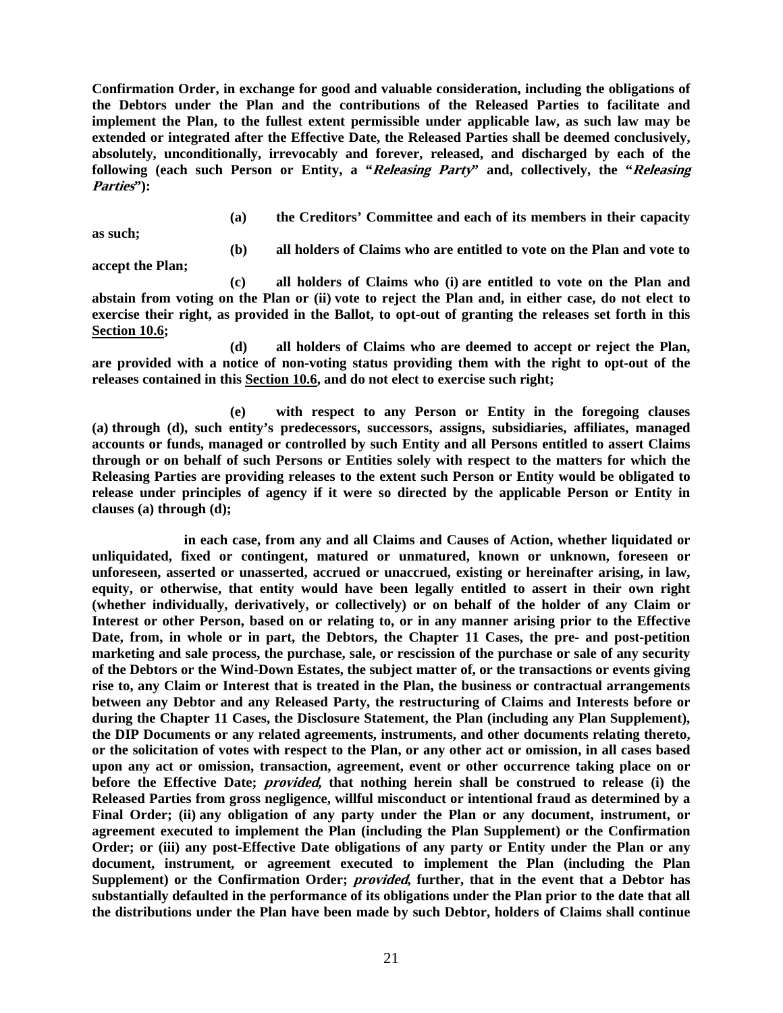**Confirmation Order, in exchange for good and valuable consideration, including the obligations of the Debtors under the Plan and the contributions of the Released Parties to facilitate and implement the Plan, to the fullest extent permissible under applicable law, as such law may be extended or integrated after the Effective Date, the Released Parties shall be deemed conclusively, absolutely, unconditionally, irrevocably and forever, released, and discharged by each of the following (each such Person or Entity, a "Releasing Party" and, collectively, the "Releasing Parties"):** 

**as such;** 

**(a) the Creditors' Committee and each of its members in their capacity** 

**(b) all holders of Claims who are entitled to vote on the Plan and vote to** 

**accept the Plan;** 

**(c) all holders of Claims who (i) are entitled to vote on the Plan and abstain from voting on the Plan or (ii) vote to reject the Plan and, in either case, do not elect to exercise their right, as provided in the Ballot, to opt-out of granting the releases set forth in this Section 10.6;** 

**(d) all holders of Claims who are deemed to accept or reject the Plan, are provided with a notice of non-voting status providing them with the right to opt-out of the releases contained in this Section 10.6, and do not elect to exercise such right;** 

**(e) with respect to any Person or Entity in the foregoing clauses (a) through (d), such entity's predecessors, successors, assigns, subsidiaries, affiliates, managed accounts or funds, managed or controlled by such Entity and all Persons entitled to assert Claims through or on behalf of such Persons or Entities solely with respect to the matters for which the Releasing Parties are providing releases to the extent such Person or Entity would be obligated to release under principles of agency if it were so directed by the applicable Person or Entity in clauses (a) through (d);** 

**in each case, from any and all Claims and Causes of Action, whether liquidated or unliquidated, fixed or contingent, matured or unmatured, known or unknown, foreseen or unforeseen, asserted or unasserted, accrued or unaccrued, existing or hereinafter arising, in law, equity, or otherwise, that entity would have been legally entitled to assert in their own right (whether individually, derivatively, or collectively) or on behalf of the holder of any Claim or Interest or other Person, based on or relating to, or in any manner arising prior to the Effective Date, from, in whole or in part, the Debtors, the Chapter 11 Cases, the pre- and post-petition marketing and sale process, the purchase, sale, or rescission of the purchase or sale of any security of the Debtors or the Wind-Down Estates, the subject matter of, or the transactions or events giving rise to, any Claim or Interest that is treated in the Plan, the business or contractual arrangements between any Debtor and any Released Party, the restructuring of Claims and Interests before or during the Chapter 11 Cases, the Disclosure Statement, the Plan (including any Plan Supplement), the DIP Documents or any related agreements, instruments, and other documents relating thereto, or the solicitation of votes with respect to the Plan, or any other act or omission, in all cases based upon any act or omission, transaction, agreement, event or other occurrence taking place on or before the Effective Date; provided, that nothing herein shall be construed to release (i) the Released Parties from gross negligence, willful misconduct or intentional fraud as determined by a Final Order; (ii) any obligation of any party under the Plan or any document, instrument, or agreement executed to implement the Plan (including the Plan Supplement) or the Confirmation Order; or (iii) any post-Effective Date obligations of any party or Entity under the Plan or any document, instrument, or agreement executed to implement the Plan (including the Plan Supplement) or the Confirmation Order; provided, further, that in the event that a Debtor has substantially defaulted in the performance of its obligations under the Plan prior to the date that all the distributions under the Plan have been made by such Debtor, holders of Claims shall continue**